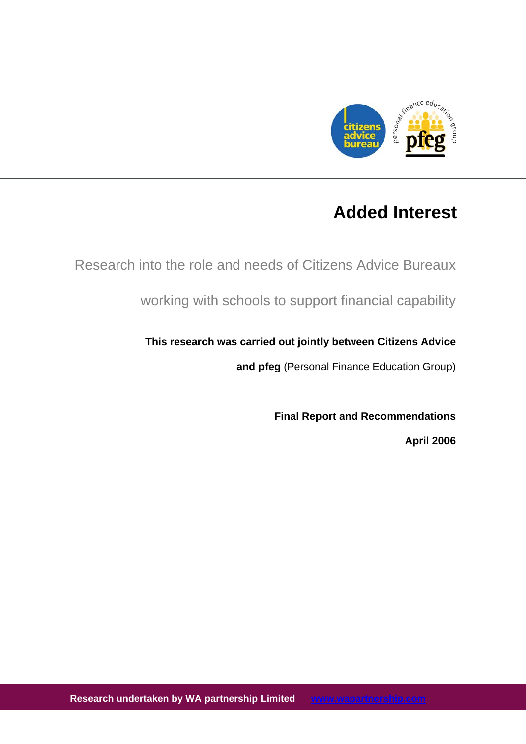

# **Added Interest**

Research into the role and needs of Citizens Advice Bureaux

working with schools to support financial capability

# **This research was carried out jointly between Citizens Advice**

**and pfeg** (Personal Finance Education Group)

**Final Report and Recommendations** 

**April 2006**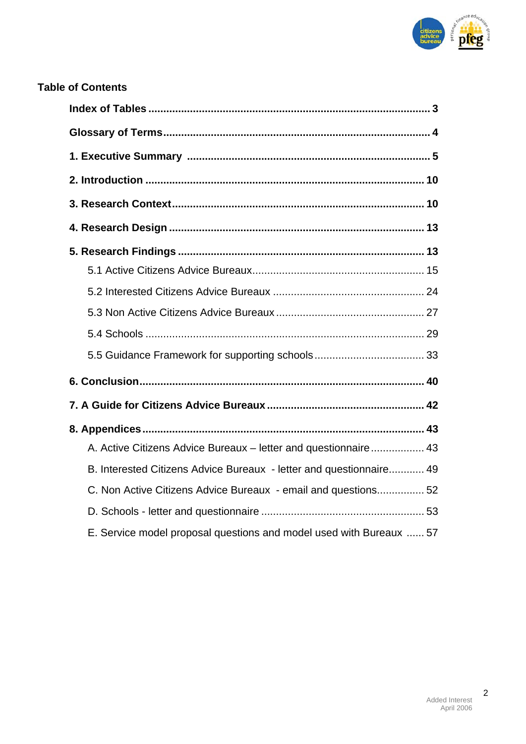

# **Table of Contents**

| A. Active Citizens Advice Bureaux - letter and questionnaire 43     |
|---------------------------------------------------------------------|
| B. Interested Citizens Advice Bureaux - letter and questionnaire 49 |
| C. Non Active Citizens Advice Bureaux - email and questions 52      |
|                                                                     |
| E. Service model proposal questions and model used with Bureaux  57 |

2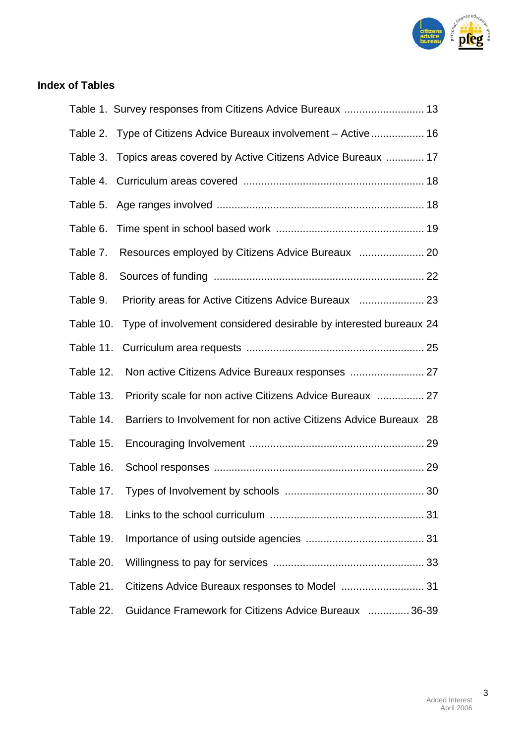

# **Index of Tables**

| Table 1. Survey responses from Citizens Advice Bureaux  13                     |
|--------------------------------------------------------------------------------|
| Table 2. Type of Citizens Advice Bureaux involvement - Active  16              |
| Table 3. Topics areas covered by Active Citizens Advice Bureaux  17            |
|                                                                                |
|                                                                                |
|                                                                                |
| Table 7.                                                                       |
| Table 8.                                                                       |
| Table 9.                                                                       |
| Table 10. Type of involvement considered desirable by interested bureaux 24    |
| Table 11.                                                                      |
| Non active Citizens Advice Bureaux responses  27<br>Table 12.                  |
| Priority scale for non active Citizens Advice Bureaux  27<br>Table 13.         |
| Barriers to Involvement for non active Citizens Advice Bureaux 28<br>Table 14. |
| Table 15.                                                                      |
| Table 16.                                                                      |
| Table 17.                                                                      |
| Table 18.                                                                      |
| Table 19.                                                                      |
| Table 20.                                                                      |
| Table 21.                                                                      |
| Guidance Framework for Citizens Advice Bureaux  36-39<br>Table 22.             |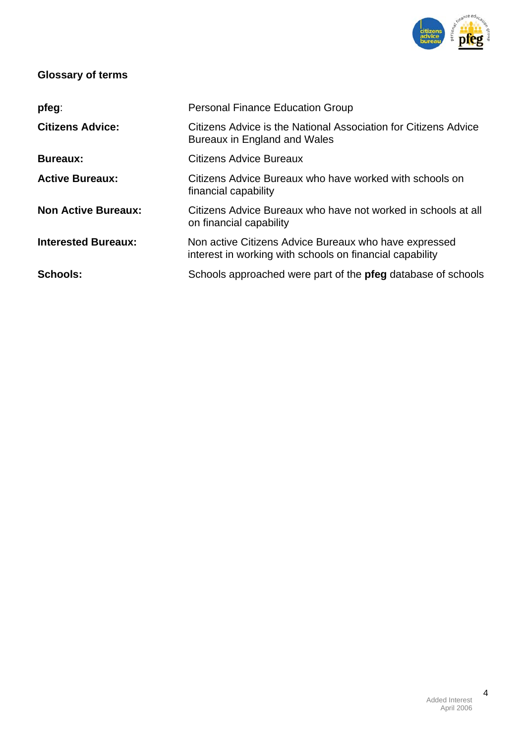

# **Glossary of terms**

| pfeg:                      | <b>Personal Finance Education Group</b>                                                                           |
|----------------------------|-------------------------------------------------------------------------------------------------------------------|
| <b>Citizens Advice:</b>    | Citizens Advice is the National Association for Citizens Advice<br>Bureaux in England and Wales                   |
| <b>Bureaux:</b>            | <b>Citizens Advice Bureaux</b>                                                                                    |
| <b>Active Bureaux:</b>     | Citizens Advice Bureaux who have worked with schools on<br>financial capability                                   |
| <b>Non Active Bureaux:</b> | Citizens Advice Bureaux who have not worked in schools at all<br>on financial capability                          |
| <b>Interested Bureaux:</b> | Non active Citizens Advice Bureaux who have expressed<br>interest in working with schools on financial capability |
| Schools:                   | Schools approached were part of the pfeg database of schools                                                      |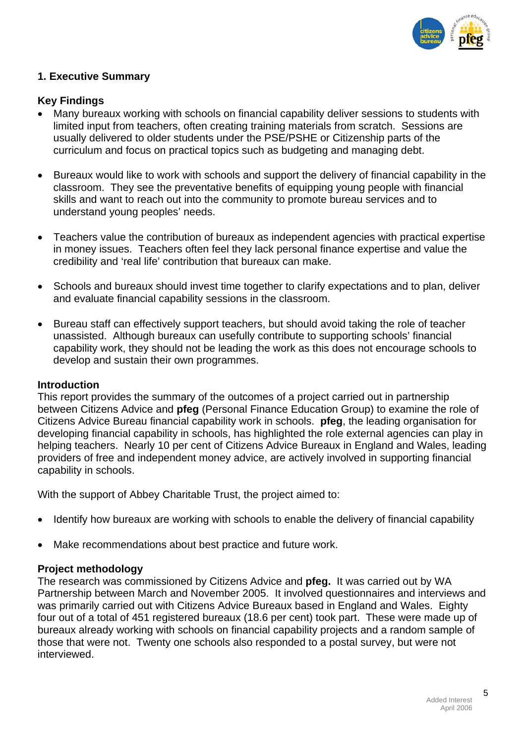

# **1. Executive Summary**

# **Key Findings**

- Many bureaux working with schools on financial capability deliver sessions to students with limited input from teachers, often creating training materials from scratch. Sessions are usually delivered to older students under the PSE/PSHE or Citizenship parts of the curriculum and focus on practical topics such as budgeting and managing debt.
- Bureaux would like to work with schools and support the delivery of financial capability in the classroom. They see the preventative benefits of equipping young people with financial skills and want to reach out into the community to promote bureau services and to understand young peoples' needs.
- Teachers value the contribution of bureaux as independent agencies with practical expertise in money issues. Teachers often feel they lack personal finance expertise and value the credibility and 'real life' contribution that bureaux can make.
- Schools and bureaux should invest time together to clarify expectations and to plan, deliver and evaluate financial capability sessions in the classroom.
- Bureau staff can effectively support teachers, but should avoid taking the role of teacher unassisted. Although bureaux can usefully contribute to supporting schools' financial capability work, they should not be leading the work as this does not encourage schools to develop and sustain their own programmes.

#### **Introduction**

This report provides the summary of the outcomes of a project carried out in partnership between Citizens Advice and **pfeg** (Personal Finance Education Group) to examine the role of Citizens Advice Bureau financial capability work in schools. **pfeg**, the leading organisation for developing financial capability in schools, has highlighted the role external agencies can play in helping teachers. Nearly 10 per cent of Citizens Advice Bureaux in England and Wales, leading providers of free and independent money advice, are actively involved in supporting financial capability in schools.

With the support of Abbey Charitable Trust, the project aimed to:

- Identify how bureaux are working with schools to enable the delivery of financial capability
- Make recommendations about best practice and future work.

# **Project methodology**

The research was commissioned by Citizens Advice and **pfeg.** It was carried out by WA Partnership between March and November 2005. It involved questionnaires and interviews and was primarily carried out with Citizens Advice Bureaux based in England and Wales. Eighty four out of a total of 451 registered bureaux (18.6 per cent) took part. These were made up of bureaux already working with schools on financial capability projects and a random sample of those that were not. Twenty one schools also responded to a postal survey, but were not interviewed.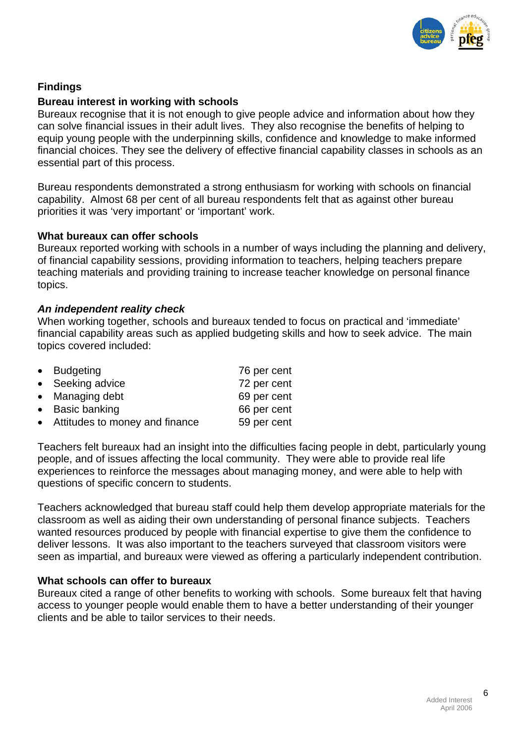

# **Findings**

## **Bureau interest in working with schools**

Bureaux recognise that it is not enough to give people advice and information about how they can solve financial issues in their adult lives. They also recognise the benefits of helping to equip young people with the underpinning skills, confidence and knowledge to make informed financial choices. They see the delivery of effective financial capability classes in schools as an essential part of this process.

Bureau respondents demonstrated a strong enthusiasm for working with schools on financial capability. Almost 68 per cent of all bureau respondents felt that as against other bureau priorities it was 'very important' or 'important' work.

#### **What bureaux can offer schools**

Bureaux reported working with schools in a number of ways including the planning and delivery, of financial capability sessions, providing information to teachers, helping teachers prepare teaching materials and providing training to increase teacher knowledge on personal finance topics.

#### *An independent reality check*

When working together, schools and bureaux tended to focus on practical and 'immediate' financial capability areas such as applied budgeting skills and how to seek advice. The main topics covered included:

| • Budgeting                      | 76 per cent |
|----------------------------------|-------------|
| • Seeking advice                 | 72 per cent |
| • Managing debt                  | 69 per cent |
| • Basic banking                  | 66 per cent |
| • Attitudes to money and finance | 59 per cent |

Teachers felt bureaux had an insight into the difficulties facing people in debt, particularly young people, and of issues affecting the local community. They were able to provide real life experiences to reinforce the messages about managing money, and were able to help with questions of specific concern to students.

Teachers acknowledged that bureau staff could help them develop appropriate materials for the classroom as well as aiding their own understanding of personal finance subjects. Teachers wanted resources produced by people with financial expertise to give them the confidence to deliver lessons. It was also important to the teachers surveyed that classroom visitors were seen as impartial, and bureaux were viewed as offering a particularly independent contribution.

#### **What schools can offer to bureaux**

Bureaux cited a range of other benefits to working with schools. Some bureaux felt that having access to younger people would enable them to have a better understanding of their younger clients and be able to tailor services to their needs.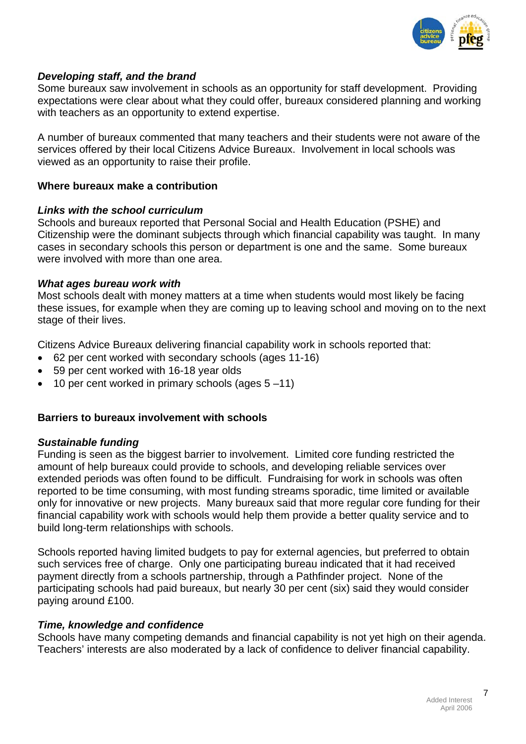

# *Developing staff, and the brand*

Some bureaux saw involvement in schools as an opportunity for staff development. Providing expectations were clear about what they could offer, bureaux considered planning and working with teachers as an opportunity to extend expertise.

A number of bureaux commented that many teachers and their students were not aware of the services offered by their local Citizens Advice Bureaux. Involvement in local schools was viewed as an opportunity to raise their profile.

# **Where bureaux make a contribution**

#### *Links with the school curriculum*

Schools and bureaux reported that Personal Social and Health Education (PSHE) and Citizenship were the dominant subjects through which financial capability was taught. In many cases in secondary schools this person or department is one and the same. Some bureaux were involved with more than one area.

#### *What ages bureau work with*

Most schools dealt with money matters at a time when students would most likely be facing these issues, for example when they are coming up to leaving school and moving on to the next stage of their lives.

Citizens Advice Bureaux delivering financial capability work in schools reported that:

- 62 per cent worked with secondary schools (ages 11-16)
- 59 per cent worked with 16-18 year olds
- 10 per cent worked in primary schools (ages 5 –11)

# **Barriers to bureaux involvement with schools**

# *Sustainable funding*

Funding is seen as the biggest barrier to involvement. Limited core funding restricted the amount of help bureaux could provide to schools, and developing reliable services over extended periods was often found to be difficult. Fundraising for work in schools was often reported to be time consuming, with most funding streams sporadic, time limited or available only for innovative or new projects. Many bureaux said that more regular core funding for their financial capability work with schools would help them provide a better quality service and to build long-term relationships with schools.

Schools reported having limited budgets to pay for external agencies, but preferred to obtain such services free of charge. Only one participating bureau indicated that it had received payment directly from a schools partnership, through a Pathfinder project. None of the participating schools had paid bureaux, but nearly 30 per cent (six) said they would consider paying around £100.

# *Time, knowledge and confidence*

Schools have many competing demands and financial capability is not yet high on their agenda. Teachers' interests are also moderated by a lack of confidence to deliver financial capability.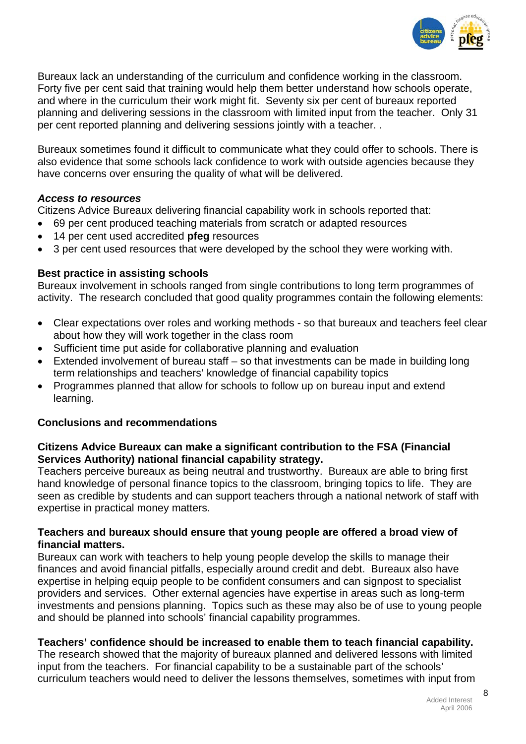

Bureaux lack an understanding of the curriculum and confidence working in the classroom. Forty five per cent said that training would help them better understand how schools operate, and where in the curriculum their work might fit. Seventy six per cent of bureaux reported planning and delivering sessions in the classroom with limited input from the teacher. Only 31 per cent reported planning and delivering sessions jointly with a teacher. .

Bureaux sometimes found it difficult to communicate what they could offer to schools. There is also evidence that some schools lack confidence to work with outside agencies because they have concerns over ensuring the quality of what will be delivered.

# *Access to resources*

Citizens Advice Bureaux delivering financial capability work in schools reported that:

- 69 per cent produced teaching materials from scratch or adapted resources
- 14 per cent used accredited **pfeg** resources
- 3 per cent used resources that were developed by the school they were working with.

# **Best practice in assisting schools**

Bureaux involvement in schools ranged from single contributions to long term programmes of activity. The research concluded that good quality programmes contain the following elements:

- Clear expectations over roles and working methods so that bureaux and teachers feel clear about how they will work together in the class room
- Sufficient time put aside for collaborative planning and evaluation
- Extended involvement of bureau staff so that investments can be made in building long term relationships and teachers' knowledge of financial capability topics
- Programmes planned that allow for schools to follow up on bureau input and extend learning.

# **Conclusions and recommendations**

# **Citizens Advice Bureaux can make a significant contribution to the FSA (Financial Services Authority) national financial capability strategy.**

Teachers perceive bureaux as being neutral and trustworthy. Bureaux are able to bring first hand knowledge of personal finance topics to the classroom, bringing topics to life. They are seen as credible by students and can support teachers through a national network of staff with expertise in practical money matters.

# **Teachers and bureaux should ensure that young people are offered a broad view of financial matters.**

Bureaux can work with teachers to help young people develop the skills to manage their finances and avoid financial pitfalls, especially around credit and debt. Bureaux also have expertise in helping equip people to be confident consumers and can signpost to specialist providers and services. Other external agencies have expertise in areas such as long-term investments and pensions planning. Topics such as these may also be of use to young people and should be planned into schools' financial capability programmes.

# **Teachers' confidence should be increased to enable them to teach financial capability.**

The research showed that the majority of bureaux planned and delivered lessons with limited input from the teachers. For financial capability to be a sustainable part of the schools' curriculum teachers would need to deliver the lessons themselves, sometimes with input from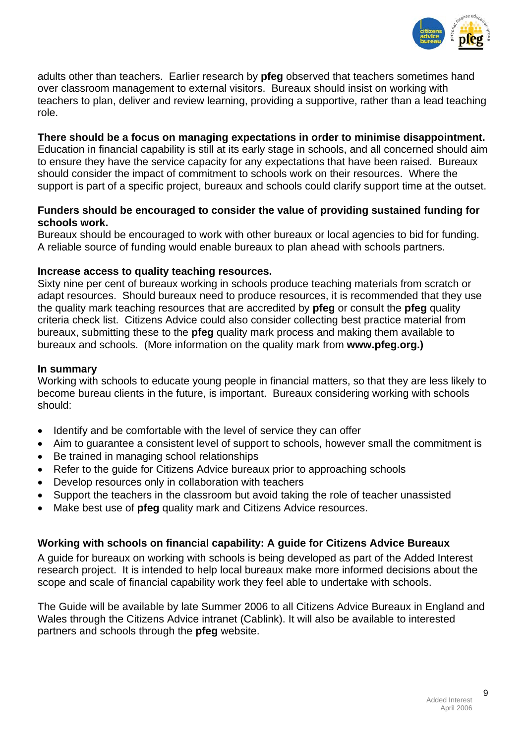

adults other than teachers. Earlier research by **pfeg** observed that teachers sometimes hand over classroom management to external visitors. Bureaux should insist on working with teachers to plan, deliver and review learning, providing a supportive, rather than a lead teaching role.

#### **There should be a focus on managing expectations in order to minimise disappointment.**

Education in financial capability is still at its early stage in schools, and all concerned should aim to ensure they have the service capacity for any expectations that have been raised. Bureaux should consider the impact of commitment to schools work on their resources. Where the support is part of a specific project, bureaux and schools could clarify support time at the outset.

# **Funders should be encouraged to consider the value of providing sustained funding for schools work.**

Bureaux should be encouraged to work with other bureaux or local agencies to bid for funding. A reliable source of funding would enable bureaux to plan ahead with schools partners.

# **Increase access to quality teaching resources.**

Sixty nine per cent of bureaux working in schools produce teaching materials from scratch or adapt resources. Should bureaux need to produce resources, it is recommended that they use the quality mark teaching resources that are accredited by **pfeg** or consult the **pfeg** quality criteria check list. Citizens Advice could also consider collecting best practice material from bureaux, submitting these to the **pfeg** quality mark process and making them available to bureaux and schools. (More information on the quality mark from **www.pfeg.org.)**

# **In summary**

Working with schools to educate young people in financial matters, so that they are less likely to become bureau clients in the future, is important. Bureaux considering working with schools should:

- Identify and be comfortable with the level of service they can offer
- Aim to guarantee a consistent level of support to schools, however small the commitment is
- Be trained in managing school relationships
- Refer to the quide for Citizens Advice bureaux prior to approaching schools
- Develop resources only in collaboration with teachers
- Support the teachers in the classroom but avoid taking the role of teacher unassisted
- Make best use of **pfeg** quality mark and Citizens Advice resources.

# **Working with schools on financial capability: A guide for Citizens Advice Bureaux**

A guide for bureaux on working with schools is being developed as part of the Added Interest research project. It is intended to help local bureaux make more informed decisions about the scope and scale of financial capability work they feel able to undertake with schools.

The Guide will be available by late Summer 2006 to all Citizens Advice Bureaux in England and Wales through the Citizens Advice intranet (Cablink). It will also be available to interested partners and schools through the **pfeg** website.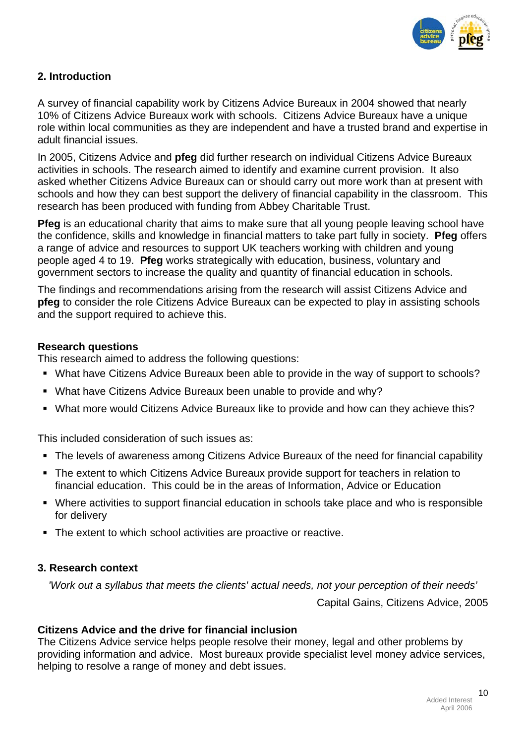

# **2. Introduction**

A survey of financial capability work by Citizens Advice Bureaux in 2004 showed that nearly 10% of Citizens Advice Bureaux work with schools. Citizens Advice Bureaux have a unique role within local communities as they are independent and have a trusted brand and expertise in adult financial issues.

In 2005, Citizens Advice and **pfeg** did further research on individual Citizens Advice Bureaux activities in schools. The research aimed to identify and examine current provision. It also asked whether Citizens Advice Bureaux can or should carry out more work than at present with schools and how they can best support the delivery of financial capability in the classroom. This research has been produced with funding from Abbey Charitable Trust.

**Pfeg** is an educational charity that aims to make sure that all young people leaving school have the confidence, skills and knowledge in financial matters to take part fully in society. **Pfeg** offers a range of advice and resources to support UK teachers working with children and young people aged 4 to 19. **Pfeg** works strategically with education, business, voluntary and government sectors to increase the quality and quantity of financial education in schools.

The findings and recommendations arising from the research will assist Citizens Advice and **pfeg** to consider the role Citizens Advice Bureaux can be expected to play in assisting schools and the support required to achieve this.

# **Research questions**

This research aimed to address the following questions:

- What have Citizens Advice Bureaux been able to provide in the way of support to schools?
- What have Citizens Advice Bureaux been unable to provide and why?
- What more would Citizens Advice Bureaux like to provide and how can they achieve this?

This included consideration of such issues as:

- The levels of awareness among Citizens Advice Bureaux of the need for financial capability
- The extent to which Citizens Advice Bureaux provide support for teachers in relation to financial education. This could be in the areas of Information, Advice or Education
- Where activities to support financial education in schools take place and who is responsible for delivery
- The extent to which school activities are proactive or reactive.

# **3. Research context**

*'Work out a syllabus that meets the clients' actual needs, not your perception of their needs'* 

Capital Gains, Citizens Advice, 2005

# **Citizens Advice and the drive for financial inclusion**

The Citizens Advice service helps people resolve their money, legal and other problems by providing information and advice. Most bureaux provide specialist level money advice services, helping to resolve a range of money and debt issues.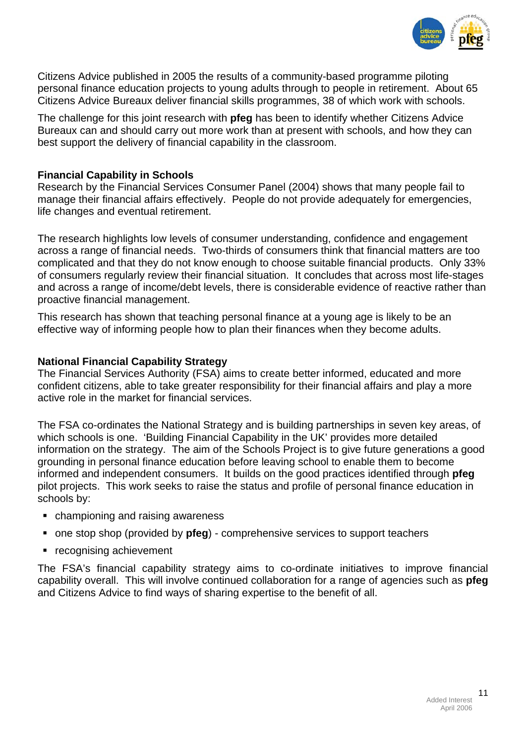

Citizens Advice published in 2005 the results of a community-based programme piloting personal finance education projects to young adults through to people in retirement. About 65 Citizens Advice Bureaux deliver financial skills programmes, 38 of which work with schools.

The challenge for this joint research with **pfeg** has been to identify whether Citizens Advice Bureaux can and should carry out more work than at present with schools, and how they can best support the delivery of financial capability in the classroom.

#### **Financial Capability in Schools**

Research by the Financial Services Consumer Panel (2004) shows that many people fail to manage their financial affairs effectively. People do not provide adequately for emergencies, life changes and eventual retirement.

The research highlights low levels of consumer understanding, confidence and engagement across a range of financial needs. Two-thirds of consumers think that financial matters are too complicated and that they do not know enough to choose suitable financial products. Only 33% of consumers regularly review their financial situation. It concludes that across most life-stages and across a range of income/debt levels, there is considerable evidence of reactive rather than proactive financial management.

This research has shown that teaching personal finance at a young age is likely to be an effective way of informing people how to plan their finances when they become adults.

#### **National Financial Capability Strategy**

The Financial Services Authority (FSA) aims to create better informed, educated and more confident citizens, able to take greater responsibility for their financial affairs and play a more active role in the market for financial services.

The FSA co-ordinates the National Strategy and is building partnerships in seven key areas, of which schools is one. 'Building Financial Capability in the UK' provides more detailed information on the strategy. The aim of the Schools Project is to give future generations a good grounding in personal finance education before leaving school to enable them to become informed and independent consumers. It builds on the good practices identified through **pfeg** pilot projects. This work seeks to raise the status and profile of personal finance education in schools by:

- championing and raising awareness
- one stop shop (provided by **pfeg**) comprehensive services to support teachers
- **•** recognising achievement

The FSA's financial capability strategy aims to co-ordinate initiatives to improve financial capability overall. This will involve continued collaboration for a range of agencies such as **pfeg** and Citizens Advice to find ways of sharing expertise to the benefit of all.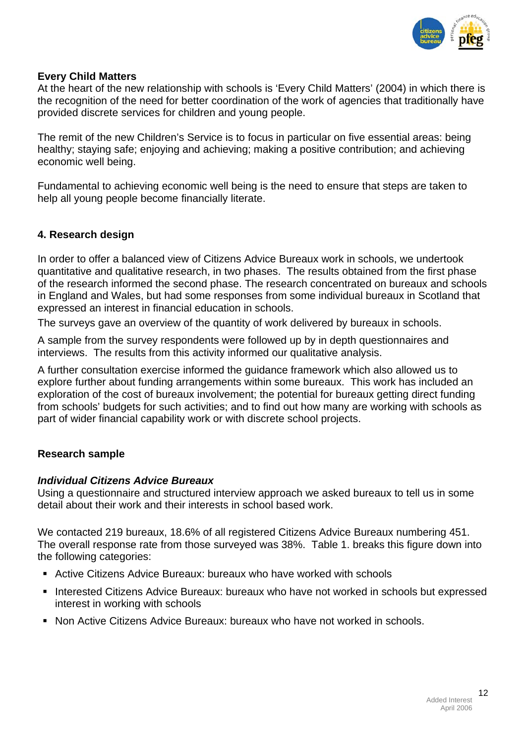

# **Every Child Matters**

At the heart of the new relationship with schools is 'Every Child Matters' (2004) in which there is the recognition of the need for better coordination of the work of agencies that traditionally have provided discrete services for children and young people.

The remit of the new Children's Service is to focus in particular on five essential areas: being healthy; staying safe; enjoying and achieving; making a positive contribution; and achieving economic well being.

Fundamental to achieving economic well being is the need to ensure that steps are taken to help all young people become financially literate.

# **4. Research design**

In order to offer a balanced view of Citizens Advice Bureaux work in schools, we undertook quantitative and qualitative research, in two phases. The results obtained from the first phase of the research informed the second phase. The research concentrated on bureaux and schools in England and Wales, but had some responses from some individual bureaux in Scotland that expressed an interest in financial education in schools.

The surveys gave an overview of the quantity of work delivered by bureaux in schools.

A sample from the survey respondents were followed up by in depth questionnaires and interviews. The results from this activity informed our qualitative analysis.

A further consultation exercise informed the guidance framework which also allowed us to explore further about funding arrangements within some bureaux. This work has included an exploration of the cost of bureaux involvement; the potential for bureaux getting direct funding from schools' budgets for such activities; and to find out how many are working with schools as part of wider financial capability work or with discrete school projects.

# **Research sample**

#### *Individual Citizens Advice Bureaux*

Using a questionnaire and structured interview approach we asked bureaux to tell us in some detail about their work and their interests in school based work.

We contacted 219 bureaux, 18.6% of all registered Citizens Advice Bureaux numbering 451. The overall response rate from those surveyed was 38%. Table 1. breaks this figure down into the following categories:

- Active Citizens Advice Bureaux: bureaux who have worked with schools
- **Interested Citizens Advice Bureaux: bureaux who have not worked in schools but expressed** interest in working with schools
- **Non Active Citizens Advice Bureaux: bureaux who have not worked in schools.**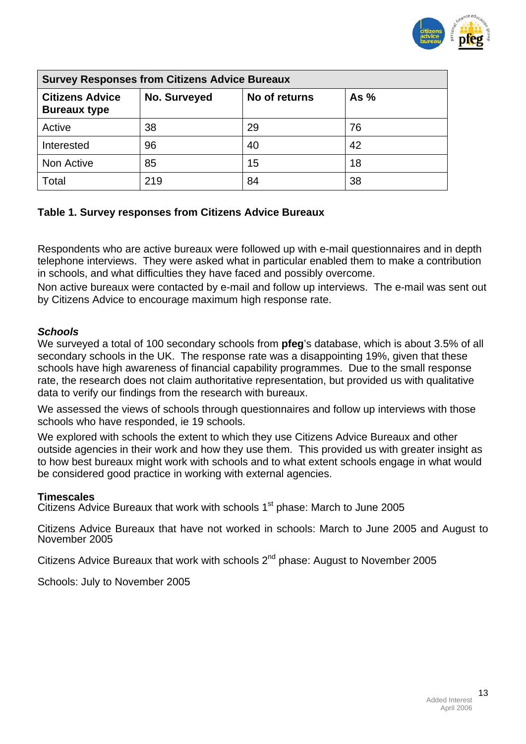

| <b>Survey Responses from Citizens Advice Bureaux</b> |              |               |        |
|------------------------------------------------------|--------------|---------------|--------|
| <b>Citizens Advice</b><br><b>Bureaux type</b>        | No. Surveyed | No of returns | As $%$ |
| Active                                               | 38           | 29            | 76     |
| Interested                                           | 96           | 40            | 42     |
| Non Active                                           | 85           | 15            | 18     |
| Total                                                | 219          | 84            | 38     |

# **Table 1. Survey responses from Citizens Advice Bureaux**

Respondents who are active bureaux were followed up with e-mail questionnaires and in depth telephone interviews. They were asked what in particular enabled them to make a contribution in schools, and what difficulties they have faced and possibly overcome.

Non active bureaux were contacted by e-mail and follow up interviews. The e-mail was sent out by Citizens Advice to encourage maximum high response rate.

#### *Schools*

We surveyed a total of 100 secondary schools from **pfeg**'s database, which is about 3.5% of all secondary schools in the UK. The response rate was a disappointing 19%, given that these schools have high awareness of financial capability programmes. Due to the small response rate, the research does not claim authoritative representation, but provided us with qualitative data to verify our findings from the research with bureaux.

We assessed the views of schools through questionnaires and follow up interviews with those schools who have responded, ie 19 schools.

We explored with schools the extent to which they use Citizens Advice Bureaux and other outside agencies in their work and how they use them. This provided us with greater insight as to how best bureaux might work with schools and to what extent schools engage in what would be considered good practice in working with external agencies.

#### **Timescales**

Citizens Advice Bureaux that work with schools 1<sup>st</sup> phase: March to June 2005

Citizens Advice Bureaux that have not worked in schools: March to June 2005 and August to November 2005

Citizens Advice Bureaux that work with schools 2<sup>nd</sup> phase: August to November 2005

Schools: July to November 2005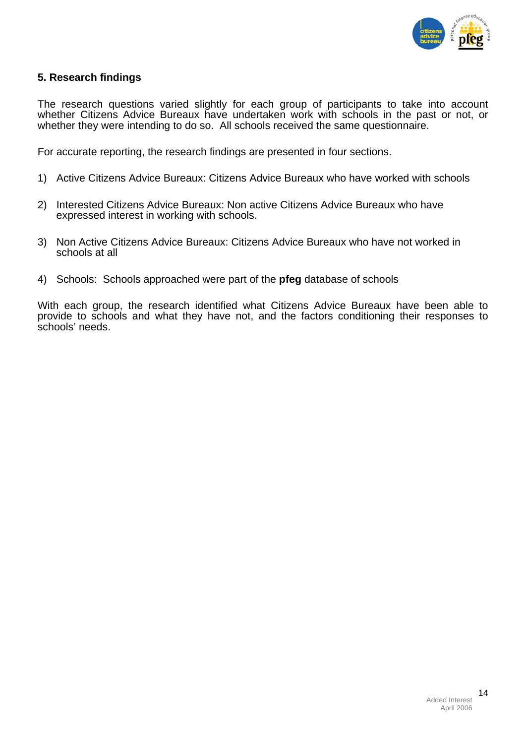

# **5. Research findings**

The research questions varied slightly for each group of participants to take into account whether Citizens Advice Bureaux have undertaken work with schools in the past or not, or whether they were intending to do so. All schools received the same questionnaire.

For accurate reporting, the research findings are presented in four sections.

- 1) Active Citizens Advice Bureaux: Citizens Advice Bureaux who have worked with schools
- 2) Interested Citizens Advice Bureaux: Non active Citizens Advice Bureaux who have expressed interest in working with schools.
- 3) Non Active Citizens Advice Bureaux: Citizens Advice Bureaux who have not worked in schools at all
- 4) Schools: Schools approached were part of the **pfeg** database of schools

With each group, the research identified what Citizens Advice Bureaux have been able to provide to schools and what they have not, and the factors conditioning their responses to schools' needs.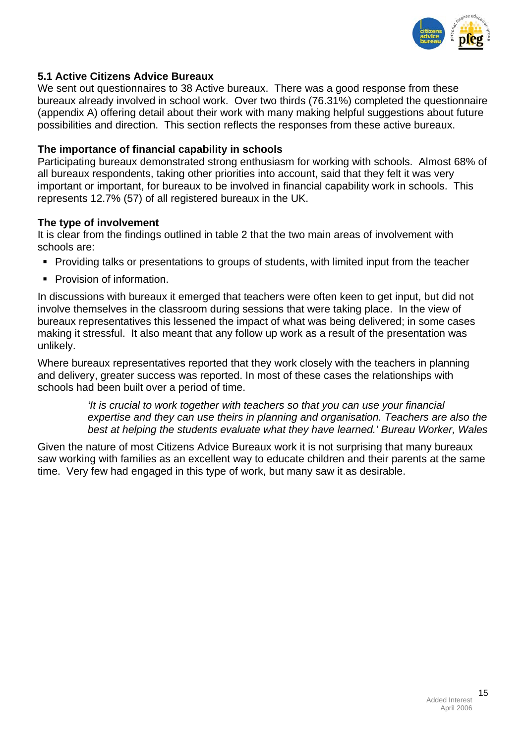

# **5.1 Active Citizens Advice Bureaux**

We sent out questionnaires to 38 Active bureaux. There was a good response from these bureaux already involved in school work. Over two thirds (76.31%) completed the questionnaire (appendix A) offering detail about their work with many making helpful suggestions about future possibilities and direction. This section reflects the responses from these active bureaux.

## **The importance of financial capability in schools**

Participating bureaux demonstrated strong enthusiasm for working with schools.Almost 68% of all bureaux respondents, taking other priorities into account, said that they felt it was very important or important, for bureaux to be involved in financial capability work in schools. This represents 12.7% (57) of all registered bureaux in the UK.

#### **The type of involvement**

It is clear from the findings outlined in table 2 that the two main areas of involvement with schools are:

- Providing talks or presentations to groups of students, with limited input from the teacher
- **Provision of information.**

In discussions with bureaux it emerged that teachers were often keen to get input, but did not involve themselves in the classroom during sessions that were taking place. In the view of bureaux representatives this lessened the impact of what was being delivered; in some cases making it stressful. It also meant that any follow up work as a result of the presentation was unlikely.

Where bureaux representatives reported that they work closely with the teachers in planning and delivery, greater success was reported. In most of these cases the relationships with schools had been built over a period of time.

> *'It is crucial to work together with teachers so that you can use your financial expertise and they can use theirs in planning and organisation. Teachers are also the best at helping the students evaluate what they have learned.' Bureau Worker, Wales*

Given the nature of most Citizens Advice Bureaux work it is not surprising that many bureaux saw working with families as an excellent way to educate children and their parents at the same time. Very few had engaged in this type of work, but many saw it as desirable.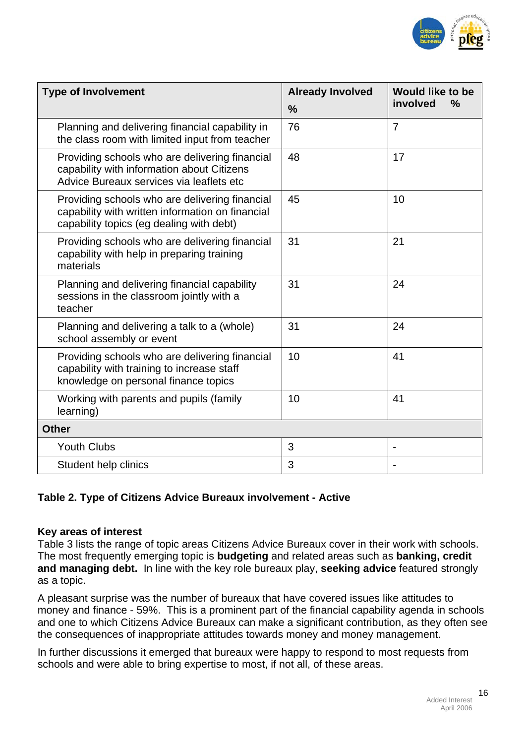

| <b>Type of Involvement</b>                                                                                                                     | <b>Already Involved</b> | <b>Would like to be</b>   |
|------------------------------------------------------------------------------------------------------------------------------------------------|-------------------------|---------------------------|
|                                                                                                                                                | $\frac{9}{6}$           | involved<br>$\frac{0}{0}$ |
| Planning and delivering financial capability in<br>the class room with limited input from teacher                                              | 76                      | $\overline{7}$            |
| Providing schools who are delivering financial<br>capability with information about Citizens<br>Advice Bureaux services via leaflets etc       | 48                      | 17                        |
| Providing schools who are delivering financial<br>capability with written information on financial<br>capability topics (eg dealing with debt) | 45                      | 10                        |
| Providing schools who are delivering financial<br>capability with help in preparing training<br>materials                                      | 31                      | 21                        |
| Planning and delivering financial capability<br>sessions in the classroom jointly with a<br>teacher                                            | 31                      | 24                        |
| Planning and delivering a talk to a (whole)<br>school assembly or event                                                                        | 31                      | 24                        |
| Providing schools who are delivering financial<br>capability with training to increase staff<br>knowledge on personal finance topics           | 10                      | 41                        |
| Working with parents and pupils (family<br>learning)                                                                                           | 10                      | 41                        |
| <b>Other</b>                                                                                                                                   |                         |                           |
| <b>Youth Clubs</b>                                                                                                                             | 3                       |                           |
| Student help clinics                                                                                                                           | 3                       |                           |

# **Table 2. Type of Citizens Advice Bureaux involvement - Active**

# **Key areas of interest**

Table 3 lists the range of topic areas Citizens Advice Bureaux cover in their work with schools. The most frequently emerging topic is **budgeting** and related areas such as **banking, credit and managing debt.** In line with the key role bureaux play, **seeking advice** featured strongly as a topic.

A pleasant surprise was the number of bureaux that have covered issues like attitudes to money and finance - 59%. This is a prominent part of the financial capability agenda in schools and one to which Citizens Advice Bureaux can make a significant contribution, as they often see the consequences of inappropriate attitudes towards money and money management.

In further discussions it emerged that bureaux were happy to respond to most requests from schools and were able to bring expertise to most, if not all, of these areas.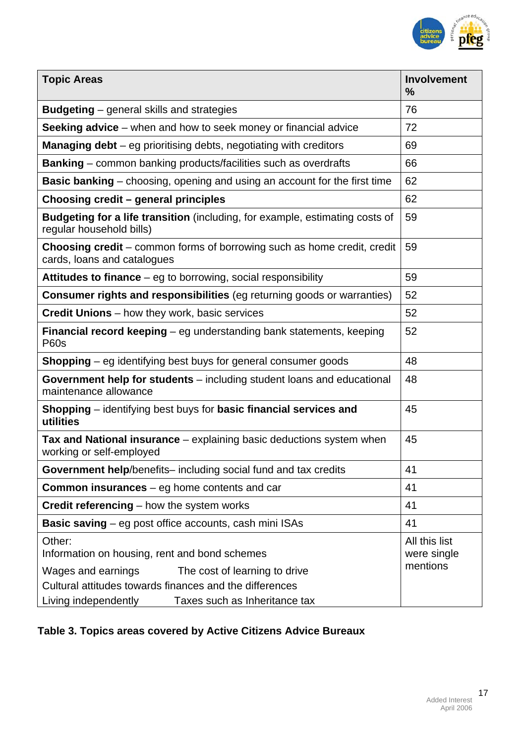

| <b>Topic Areas</b><br>$\frac{0}{0}$                                                                                   | <b>Involvement</b>                       |
|-----------------------------------------------------------------------------------------------------------------------|------------------------------------------|
| <b>Budgeting</b> – general skills and strategies<br>76                                                                |                                          |
| Seeking advice – when and how to seek money or financial advice<br>72                                                 |                                          |
| <b>Managing debt</b> $-$ eg prioritising debts, negotiating with creditors<br>69                                      |                                          |
| <b>Banking</b> – common banking products/facilities such as overdrafts<br>66                                          |                                          |
| <b>Basic banking</b> – choosing, opening and using an account for the first time<br>62                                |                                          |
| 62<br>Choosing credit - general principles                                                                            |                                          |
| <b>Budgeting for a life transition</b> (including, for example, estimating costs of<br>59<br>regular household bills) |                                          |
| <b>Choosing credit</b> – common forms of borrowing such as home credit, credit<br>59<br>cards, loans and catalogues   |                                          |
| 59<br>Attitudes to finance – eg to borrowing, social responsibility                                                   |                                          |
| <b>Consumer rights and responsibilities</b> (eg returning goods or warranties)<br>52                                  |                                          |
| 52<br><b>Credit Unions</b> – how they work, basic services                                                            |                                          |
| 52<br><b>Financial record keeping</b> – eg understanding bank statements, keeping<br><b>P60s</b>                      |                                          |
| 48<br>Shopping - eg identifying best buys for general consumer goods                                                  |                                          |
| Government help for students – including student loans and educational<br>48<br>maintenance allowance                 |                                          |
| Shopping – identifying best buys for basic financial services and<br>45<br>utilities                                  |                                          |
| <b>Tax and National insurance</b> – explaining basic deductions system when<br>45<br>working or self-employed         |                                          |
| Government help/benefits-including social fund and tax credits<br>41                                                  |                                          |
| 41<br><b>Common insurances</b> $-$ eg home contents and car                                                           |                                          |
| Credit referencing - how the system works<br>41                                                                       |                                          |
| <b>Basic saving</b> – eg post office accounts, cash mini ISAs<br>41                                                   |                                          |
| Other:<br>Information on housing, rent and bond schemes                                                               | All this list<br>were single<br>mentions |
| Wages and earnings<br>The cost of learning to drive                                                                   |                                          |
| Cultural attitudes towards finances and the differences<br>Living independently<br>Taxes such as Inheritance tax      |                                          |

# **Table 3. Topics areas covered by Active Citizens Advice Bureaux**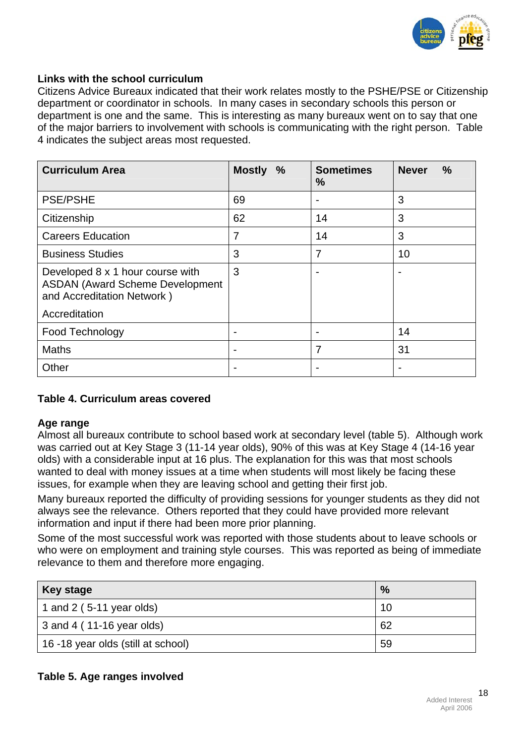

#### **Links with the school curriculum**

Citizens Advice Bureaux indicated that their work relates mostly to the PSHE/PSE or Citizenship department or coordinator in schools. In many cases in secondary schools this person or department is one and the same. This is interesting as many bureaux went on to say that one of the major barriers to involvement with schools is communicating with the right person. Table 4 indicates the subject areas most requested.

| <b>Curriculum Area</b>                                                                                   | <b>Mostly</b><br>$\%$ | <b>Sometimes</b><br>$\%$ | <b>Never</b><br>$\frac{0}{0}$ |
|----------------------------------------------------------------------------------------------------------|-----------------------|--------------------------|-------------------------------|
| <b>PSE/PSHE</b>                                                                                          | 69                    |                          | 3                             |
| Citizenship                                                                                              | 62                    | 14                       | 3                             |
| <b>Careers Education</b>                                                                                 | 7                     | 14                       | 3                             |
| <b>Business Studies</b>                                                                                  | 3                     | 7                        | 10                            |
| Developed 8 x 1 hour course with<br><b>ASDAN (Award Scheme Development</b><br>and Accreditation Network) | 3                     |                          |                               |
| Accreditation                                                                                            |                       |                          |                               |
| Food Technology                                                                                          |                       |                          | 14                            |
| <b>Maths</b>                                                                                             |                       | 7                        | 31                            |
| Other                                                                                                    |                       |                          |                               |

# **Table 4. Curriculum areas covered**

#### **Age range**

Almost all bureaux contribute to school based work at secondary level (table 5). Although work was carried out at Key Stage 3 (11-14 year olds), 90% of this was at Key Stage 4 (14-16 year olds) with a considerable input at 16 plus. The explanation for this was that most schools wanted to deal with money issues at a time when students will most likely be facing these issues, for example when they are leaving school and getting their first job.

Many bureaux reported the difficulty of providing sessions for younger students as they did not always see the relevance. Others reported that they could have provided more relevant information and input if there had been more prior planning.

Some of the most successful work was reported with those students about to leave schools or who were on employment and training style courses. This was reported as being of immediate relevance to them and therefore more engaging.

| <b>Key stage</b>                   | $\frac{9}{6}$ |
|------------------------------------|---------------|
| 1 and 2 ( $5-11$ year olds)        | 10            |
| $\vert$ 3 and 4 (11-16 year olds)  | 62            |
| 16 -18 year olds (still at school) | 59            |

# **Table 5. Age ranges involved**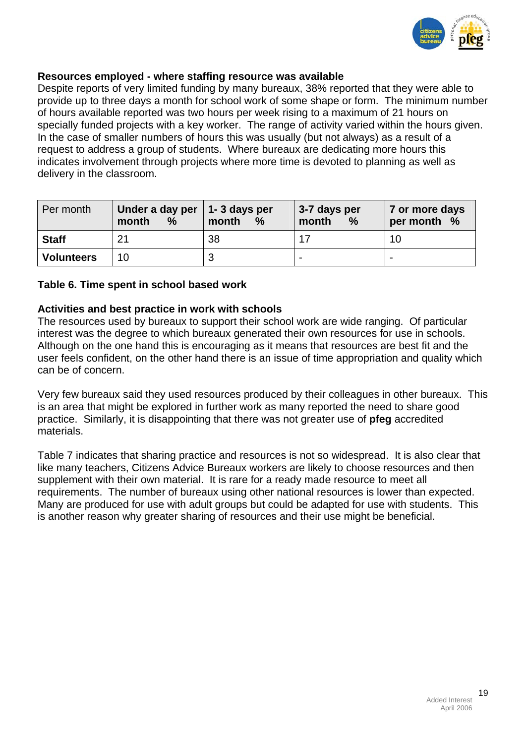

# **Resources employed - where staffing resource was available**

Despite reports of very limited funding by many bureaux, 38% reported that they were able to provide up to three days a month for school work of some shape or form. The minimum number of hours available reported was two hours per week rising to a maximum of 21 hours on specially funded projects with a key worker. The range of activity varied within the hours given. In the case of smaller numbers of hours this was usually (but not always) as a result of a request to address a group of students. Where bureaux are dedicating more hours this indicates involvement through projects where more time is devoted to planning as well as delivery in the classroom.

| Per month         | Under a day per $ 1-3$ days per<br>$\%$<br>month | month<br>$\frac{9}{6}$ | 3-7 days per<br>month<br>$\%$ | 7 or more days<br>per month % |
|-------------------|--------------------------------------------------|------------------------|-------------------------------|-------------------------------|
| <b>Staff</b>      | 21                                               | 38                     |                               |                               |
| <b>Volunteers</b> | 10                                               |                        |                               | ۰                             |

#### **Table 6. Time spent in school based work**

#### **Activities and best practice in work with schools**

The resources used by bureaux to support their school work are wide ranging. Of particular interest was the degree to which bureaux generated their own resources for use in schools. Although on the one hand this is encouraging as it means that resources are best fit and the user feels confident, on the other hand there is an issue of time appropriation and quality which can be of concern.

Very few bureaux said they used resources produced by their colleagues in other bureaux. This is an area that might be explored in further work as many reported the need to share good practice. Similarly, it is disappointing that there was not greater use of **pfeg** accredited materials.

Table 7 indicates that sharing practice and resources is not so widespread. It is also clear that like many teachers, Citizens Advice Bureaux workers are likely to choose resources and then supplement with their own material. It is rare for a ready made resource to meet all requirements. The number of bureaux using other national resources is lower than expected. Many are produced for use with adult groups but could be adapted for use with students. This is another reason why greater sharing of resources and their use might be beneficial.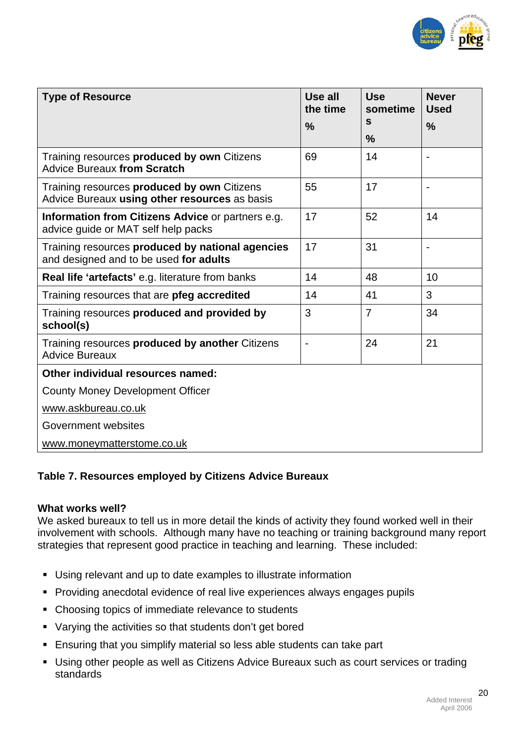

| <b>Type of Resource</b>                                                                      | Use all<br>the time | <b>Use</b><br>sometime | <b>Never</b><br><b>Used</b> |
|----------------------------------------------------------------------------------------------|---------------------|------------------------|-----------------------------|
|                                                                                              | $\frac{9}{6}$       | S                      | $\frac{0}{0}$               |
|                                                                                              |                     | $\frac{9}{6}$          |                             |
| Training resources produced by own Citizens<br><b>Advice Bureaux from Scratch</b>            | 69                  | 14                     | $\overline{\phantom{0}}$    |
| Training resources produced by own Citizens<br>Advice Bureaux using other resources as basis | 55                  | 17                     |                             |
| Information from Citizens Advice or partners e.g.<br>advice guide or MAT self help packs     | 17                  | 52                     | 14                          |
| Training resources produced by national agencies<br>and designed and to be used for adults   | 17                  | 31                     | $\overline{a}$              |
| Real life 'artefacts' e.g. literature from banks                                             | 14                  | 48                     | 10                          |
| Training resources that are pfeg accredited                                                  | 14                  | 41                     | 3                           |
| Training resources produced and provided by<br>school(s)                                     | 3                   | $\overline{7}$         | 34                          |
| Training resources produced by another Citizens<br><b>Advice Bureaux</b>                     |                     | 24                     | 21                          |
| Other individual resources named:                                                            |                     |                        |                             |
| <b>County Money Development Officer</b>                                                      |                     |                        |                             |
| www.askbureau.co.uk                                                                          |                     |                        |                             |
| Government websites                                                                          |                     |                        |                             |
| www.moneymatterstome.co.uk                                                                   |                     |                        |                             |

# **Table 7. Resources employed by Citizens Advice Bureaux**

# **What works well?**

We asked bureaux to tell us in more detail the kinds of activity they found worked well in their involvement with schools. Although many have no teaching or training background many report strategies that represent good practice in teaching and learning. These included:

- Using relevant and up to date examples to illustrate information
- **Providing anecdotal evidence of real live experiences always engages pupils**
- Choosing topics of immediate relevance to students
- Varying the activities so that students don't get bored
- Ensuring that you simplify material so less able students can take part
- Using other people as well as Citizens Advice Bureaux such as court services or trading standards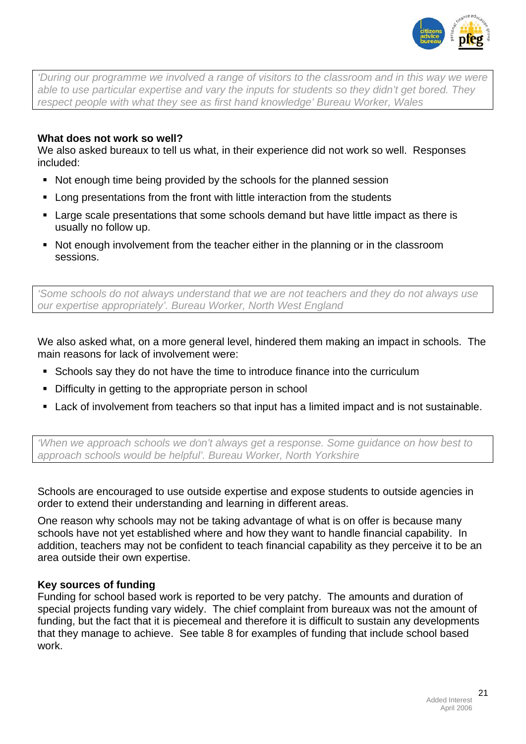

*'During our programme we involved a range of visitors to the classroom and in this way we were able to use particular expertise and vary the inputs for students so they didn't get bored. They respect people with what they see as first hand knowledge' Bureau Worker, Wales* 

# **What does not work so well?**

We also asked bureaux to tell us what, in their experience did not work so well. Responses included:

- Not enough time being provided by the schools for the planned session
- **EXTERN** Long presentations from the front with little interaction from the students
- Large scale presentations that some schools demand but have little impact as there is usually no follow up.
- Not enough involvement from the teacher either in the planning or in the classroom sessions.

*'Some schools do not always understand that we are not teachers and they do not always use our expertise appropriately'. Bureau Worker, North West England* 

We also asked what, on a more general level, hindered them making an impact in schools. The main reasons for lack of involvement were:

- Schools say they do not have the time to introduce finance into the curriculum
- Difficulty in getting to the appropriate person in school
- Lack of involvement from teachers so that input has a limited impact and is not sustainable.

*'When we approach schools we don't always get a response. Some guidance on how best to approach schools would be helpful'. Bureau Worker, North Yorkshire*

Schools are encouraged to use outside expertise and expose students to outside agencies in order to extend their understanding and learning in different areas.

One reason why schools may not be taking advantage of what is on offer is because many schools have not yet established where and how they want to handle financial capability. In addition, teachers may not be confident to teach financial capability as they perceive it to be an area outside their own expertise.

# **Key sources of funding**

Funding for school based work is reported to be very patchy. The amounts and duration of special projects funding vary widely. The chief complaint from bureaux was not the amount of funding, but the fact that it is piecemeal and therefore it is difficult to sustain any developments that they manage to achieve. See table 8 for examples of funding that include school based work.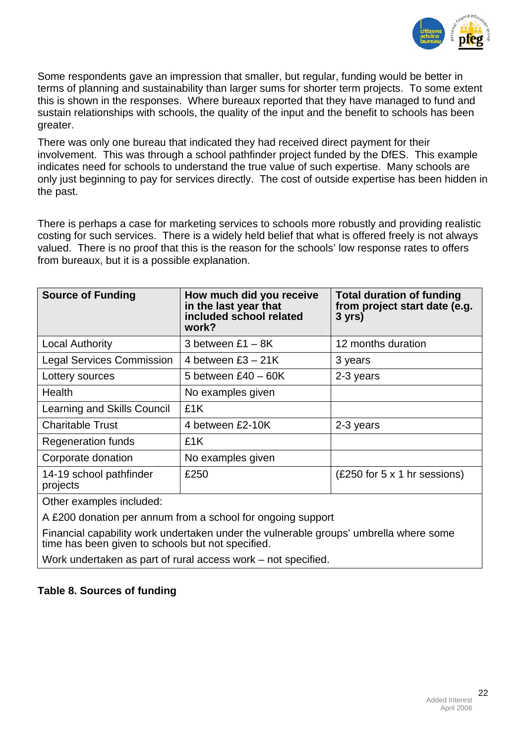

Some respondents gave an impression that smaller, but regular, funding would be better in terms of planning and sustainability than larger sums for shorter term projects. To some extent this is shown in the responses. Where bureaux reported that they have managed to fund and sustain relationships with schools, the quality of the input and the benefit to schools has been greater.

There was only one bureau that indicated they had received direct payment for their involvement. This was through a school pathfinder project funded by the DfES. This example indicates need for schools to understand the true value of such expertise. Many schools are only just beginning to pay for services directly. The cost of outside expertise has been hidden in the past.

There is perhaps a case for marketing services to schools more robustly and providing realistic costing for such services. There is a widely held belief that what is offered freely is not always valued. There is no proof that this is the reason for the schools' low response rates to offers from bureaux, but it is a possible explanation.

| <b>Source of Funding</b>            | How much did you receive<br>in the last year that<br>included school related<br>work? | <b>Total duration of funding</b><br>from project start date (e.g.<br>$3$ yrs) |
|-------------------------------------|---------------------------------------------------------------------------------------|-------------------------------------------------------------------------------|
| <b>Local Authority</b>              | 3 between $£1 - 8K$                                                                   | 12 months duration                                                            |
| <b>Legal Services Commission</b>    | 4 between $£3 - 21K$                                                                  | 3 years                                                                       |
| Lottery sources                     | 5 between $£40 - 60K$                                                                 | 2-3 years                                                                     |
| <b>Health</b>                       | No examples given                                                                     |                                                                               |
| Learning and Skills Council         | £1K                                                                                   |                                                                               |
| <b>Charitable Trust</b>             | 4 between £2-10K                                                                      | 2-3 years                                                                     |
| <b>Regeneration funds</b>           | £1K                                                                                   |                                                                               |
| Corporate donation                  | No examples given                                                                     |                                                                               |
| 14-19 school pathfinder<br>projects | £250                                                                                  | (£250 for 5 x 1 hr sessions)                                                  |

Other examples included:

A £200 donation per annum from a school for ongoing support

Financial capability work undertaken under the vulnerable groups' umbrella where some time has been given to schools but not specified.

Work undertaken as part of rural access work – not specified.

# **Table 8. Sources of funding**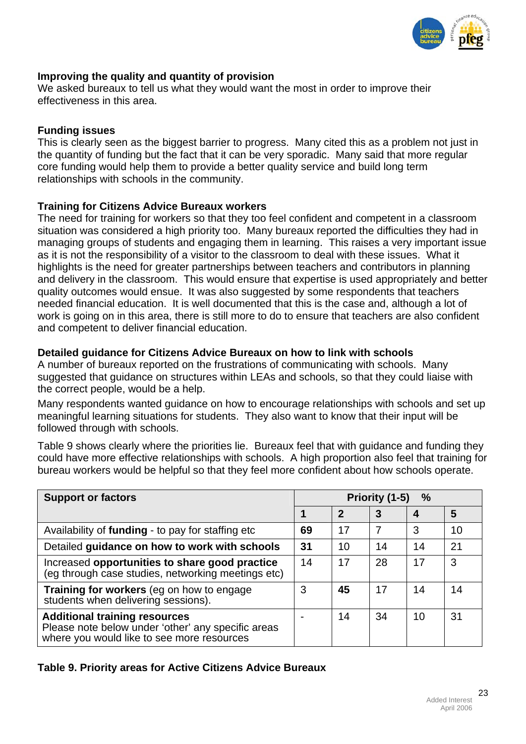

# **Improving the quality and quantity of provision**

We asked bureaux to tell us what they would want the most in order to improve their effectiveness in this area.

# **Funding issues**

This is clearly seen as the biggest barrier to progress. Many cited this as a problem not just in the quantity of funding but the fact that it can be very sporadic. Many said that more regular core funding would help them to provide a better quality service and build long term relationships with schools in the community.

# **Training for Citizens Advice Bureaux workers**

The need for training for workers so that they too feel confident and competent in a classroom situation was considered a high priority too. Many bureaux reported the difficulties they had in managing groups of students and engaging them in learning. This raises a very important issue as it is not the responsibility of a visitor to the classroom to deal with these issues. What it highlights is the need for greater partnerships between teachers and contributors in planning and delivery in the classroom. This would ensure that expertise is used appropriately and better quality outcomes would ensue. It was also suggested by some respondents that teachers needed financial education. It is well documented that this is the case and, although a lot of work is going on in this area, there is still more to do to ensure that teachers are also confident and competent to deliver financial education.

# **Detailed guidance for Citizens Advice Bureaux on how to link with schools**

A number of bureaux reported on the frustrations of communicating with schools. Many suggested that guidance on structures within LEAs and schools, so that they could liaise with the correct people, would be a help.

Many respondents wanted guidance on how to encourage relationships with schools and set up meaningful learning situations for students. They also want to know that their input will be followed through with schools.

Table 9 shows clearly where the priorities lie. Bureaux feel that with guidance and funding they could have more effective relationships with schools. A high proportion also feel that training for bureau workers would be helpful so that they feel more confident about how schools operate.

| <b>Support or factors</b>                                                                                                                | $\%$<br>Priority (1-5) |                            |    |    |    |
|------------------------------------------------------------------------------------------------------------------------------------------|------------------------|----------------------------|----|----|----|
|                                                                                                                                          |                        | $\boldsymbol{\mathcal{P}}$ | 3  | 4  | 5  |
| Availability of funding - to pay for staffing etc                                                                                        | 69                     | 17                         |    | 3  | 10 |
| Detailed guidance on how to work with schools                                                                                            | 31                     | 10                         | 14 | 14 | 21 |
| Increased opportunities to share good practice<br>(eg through case studies, networking meetings etc)                                     | 14                     | 17                         | 28 | 17 | 3  |
| Training for workers (eg on how to engage<br>students when delivering sessions).                                                         | 3                      | 45                         | 17 | 14 | 14 |
| <b>Additional training resources</b><br>Please note below under 'other' any specific areas<br>where you would like to see more resources |                        | 14                         | 34 | 10 | 31 |

**Table 9. Priority areas for Active Citizens Advice Bureaux**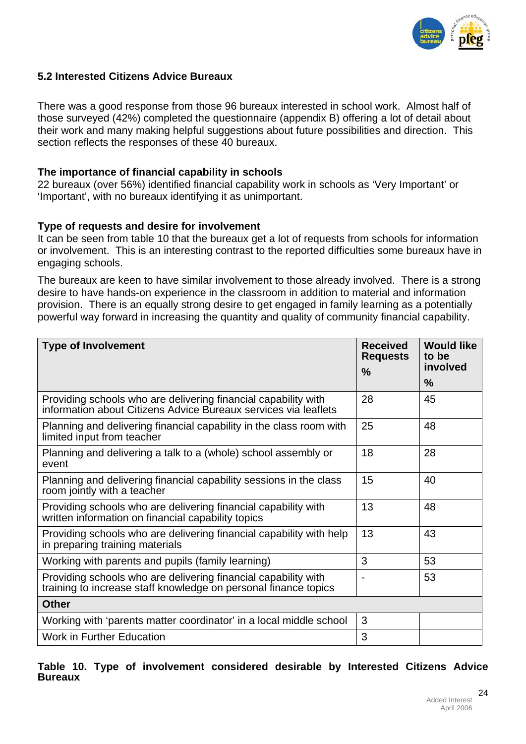

# **5.2 Interested Citizens Advice Bureaux**

There was a good response from those 96 bureaux interested in school work. Almost half of those surveyed (42%) completed the questionnaire (appendix B) offering a lot of detail about their work and many making helpful suggestions about future possibilities and direction. This section reflects the responses of these 40 bureaux.

## **The importance of financial capability in schools**

22 bureaux (over 56%) identified financial capability work in schools as 'Very Important' or 'Important', with no bureaux identifying it as unimportant.

# **Type of requests and desire for involvement**

It can be seen from table 10 that the bureaux get a lot of requests from schools for information or involvement. This is an interesting contrast to the reported difficulties some bureaux have in engaging schools.

The bureaux are keen to have similar involvement to those already involved. There is a strong desire to have hands-on experience in the classroom in addition to material and information provision. There is an equally strong desire to get engaged in family learning as a potentially powerful way forward in increasing the quantity and quality of community financial capability.

| <b>Type of Involvement</b>                                                                                                        | <b>Received</b><br><b>Requests</b> | <b>Would like</b><br>to be<br>involved |
|-----------------------------------------------------------------------------------------------------------------------------------|------------------------------------|----------------------------------------|
|                                                                                                                                   | $\frac{0}{0}$                      | $\frac{0}{0}$                          |
| Providing schools who are delivering financial capability with<br>information about Citizens Advice Bureaux services via leaflets | 28                                 | 45                                     |
| Planning and delivering financial capability in the class room with<br>limited input from teacher                                 | 25                                 | 48                                     |
| Planning and delivering a talk to a (whole) school assembly or<br>event                                                           | 18                                 | 28                                     |
| Planning and delivering financial capability sessions in the class<br>room jointly with a teacher                                 | 15                                 | 40                                     |
| Providing schools who are delivering financial capability with<br>written information on financial capability topics              | 13                                 | 48                                     |
| Providing schools who are delivering financial capability with help<br>in preparing training materials                            | 13                                 | 43                                     |
| Working with parents and pupils (family learning)                                                                                 | 3                                  | 53                                     |
| Providing schools who are delivering financial capability with<br>training to increase staff knowledge on personal finance topics | $\overline{\phantom{0}}$           | 53                                     |
| <b>Other</b>                                                                                                                      |                                    |                                        |
| Working with 'parents matter coordinator' in a local middle school                                                                | 3                                  |                                        |
| <b>Work in Further Education</b>                                                                                                  | 3                                  |                                        |

**Table 10. Type of involvement considered desirable by Interested Citizens Advice Bureaux**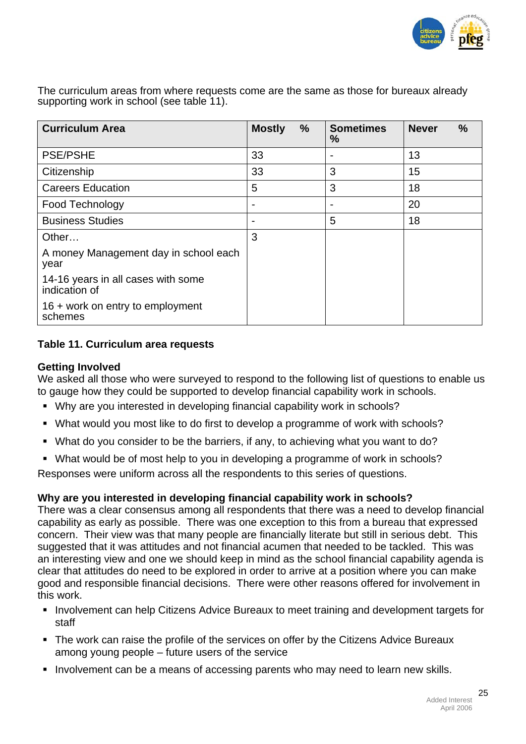

The curriculum areas from where requests come are the same as those for bureaux already supporting work in school (see table 11).

| <b>Curriculum Area</b>                              | $\frac{0}{0}$<br><b>Mostly</b> | <b>Sometimes</b><br>% | $\frac{0}{0}$<br><b>Never</b> |
|-----------------------------------------------------|--------------------------------|-----------------------|-------------------------------|
| <b>PSE/PSHE</b>                                     | 33                             |                       | 13                            |
| Citizenship                                         | 33                             | 3                     | 15                            |
| <b>Careers Education</b>                            | 5                              | 3                     | 18                            |
| Food Technology                                     | $\overline{\phantom{0}}$       |                       | 20                            |
| <b>Business Studies</b>                             | $\overline{\phantom{a}}$       | 5                     | 18                            |
| Other                                               | 3                              |                       |                               |
| A money Management day in school each<br>year       |                                |                       |                               |
| 14-16 years in all cases with some<br>indication of |                                |                       |                               |
| 16 + work on entry to employment<br>schemes         |                                |                       |                               |

# **Table 11. Curriculum area requests**

# **Getting Involved**

We asked all those who were surveyed to respond to the following list of questions to enable us to gauge how they could be supported to develop financial capability work in schools.

- Why are you interested in developing financial capability work in schools?
- What would you most like to do first to develop a programme of work with schools?
- What do you consider to be the barriers, if any, to achieving what you want to do?
- What would be of most help to you in developing a programme of work in schools?

Responses were uniform across all the respondents to this series of questions.

# **Why are you interested in developing financial capability work in schools?**

There was a clear consensus among all respondents that there was a need to develop financial capability as early as possible. There was one exception to this from a bureau that expressed concern. Their view was that many people are financially literate but still in serious debt. This suggested that it was attitudes and not financial acumen that needed to be tackled. This was an interesting view and one we should keep in mind as the school financial capability agenda is clear that attitudes do need to be explored in order to arrive at a position where you can make good and responsible financial decisions. There were other reasons offered for involvement in this work.

- **Involvement can help Citizens Advice Bureaux to meet training and development targets for** staff
- The work can raise the profile of the services on offer by the Citizens Advice Bureaux among young people – future users of the service
- Involvement can be a means of accessing parents who may need to learn new skills.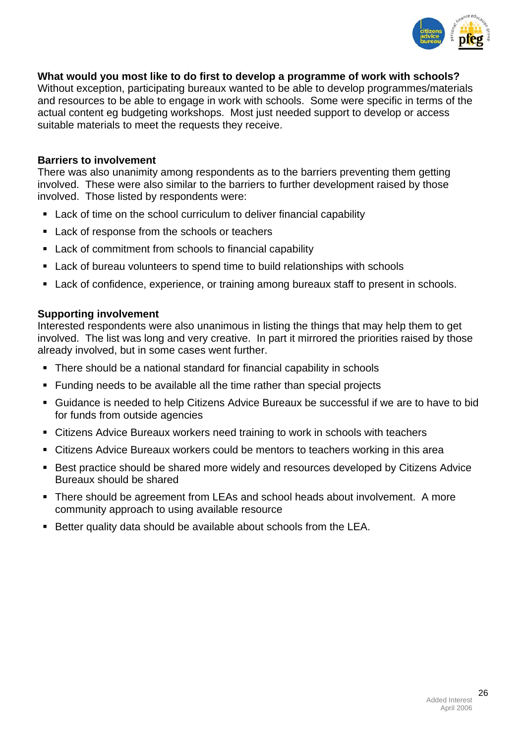

## **What would you most like to do first to develop a programme of work with schools?**

Without exception, participating bureaux wanted to be able to develop programmes/materials and resources to be able to engage in work with schools. Some were specific in terms of the actual content eg budgeting workshops. Most just needed support to develop or access suitable materials to meet the requests they receive.

#### **Barriers to involvement**

There was also unanimity among respondents as to the barriers preventing them getting involved. These were also similar to the barriers to further development raised by those involved. Those listed by respondents were:

- Lack of time on the school curriculum to deliver financial capability
- **Lack of response from the schools or teachers**
- **Lack of commitment from schools to financial capability**
- Lack of bureau volunteers to spend time to build relationships with schools
- **Lack of confidence, experience, or training among bureaux staff to present in schools.**

#### **Supporting involvement**

Interested respondents were also unanimous in listing the things that may help them to get involved. The list was long and very creative. In part it mirrored the priorities raised by those already involved, but in some cases went further.

- There should be a national standard for financial capability in schools
- Funding needs to be available all the time rather than special projects
- Guidance is needed to help Citizens Advice Bureaux be successful if we are to have to bid for funds from outside agencies
- Citizens Advice Bureaux workers need training to work in schools with teachers
- Citizens Advice Bureaux workers could be mentors to teachers working in this area
- **Best practice should be shared more widely and resources developed by Citizens Advice** Bureaux should be shared
- There should be agreement from LEAs and school heads about involvement. A more community approach to using available resource
- Better quality data should be available about schools from the LEA.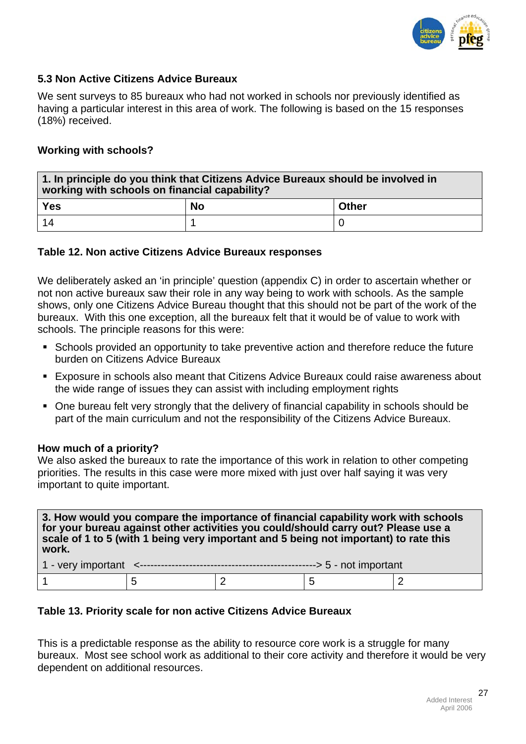

# **5.3 Non Active Citizens Advice Bureaux**

We sent surveys to 85 bureaux who had not worked in schools nor previously identified as having a particular interest in this area of work. The following is based on the 15 responses (18%) received.

# **Working with schools?**

| $\mid$ 1. In principle do you think that Citizens Advice Bureaux should be involved in<br>working with schools on financial capability? |  |  |  |  |
|-----------------------------------------------------------------------------------------------------------------------------------------|--|--|--|--|
| Yes<br><b>No</b><br><b>Other</b>                                                                                                        |  |  |  |  |
| 14                                                                                                                                      |  |  |  |  |

# **Table 12. Non active Citizens Advice Bureaux responses**

We deliberately asked an 'in principle' question (appendix C) in order to ascertain whether or not non active bureaux saw their role in any way being to work with schools. As the sample shows, only one Citizens Advice Bureau thought that this should not be part of the work of the bureaux. With this one exception, all the bureaux felt that it would be of value to work with schools. The principle reasons for this were:

- Schools provided an opportunity to take preventive action and therefore reduce the future burden on Citizens Advice Bureaux
- Exposure in schools also meant that Citizens Advice Bureaux could raise awareness about the wide range of issues they can assist with including employment rights
- One bureau felt very strongly that the delivery of financial capability in schools should be part of the main curriculum and not the responsibility of the Citizens Advice Bureaux.

#### **How much of a priority?**

We also asked the bureaux to rate the importance of this work in relation to other competing priorities. The results in this case were more mixed with just over half saying it was very important to quite important.

**3. How would you compare the importance of financial capability work with schools for your bureau against other activities you could/should carry out? Please use a scale of 1 to 5 (with 1 being very important and 5 being not important) to rate this work.** 

# **Table 13. Priority scale for non active Citizens Advice Bureaux**

This is a predictable response as the ability to resource core work is a struggle for many bureaux. Most see school work as additional to their core activity and therefore it would be very dependent on additional resources.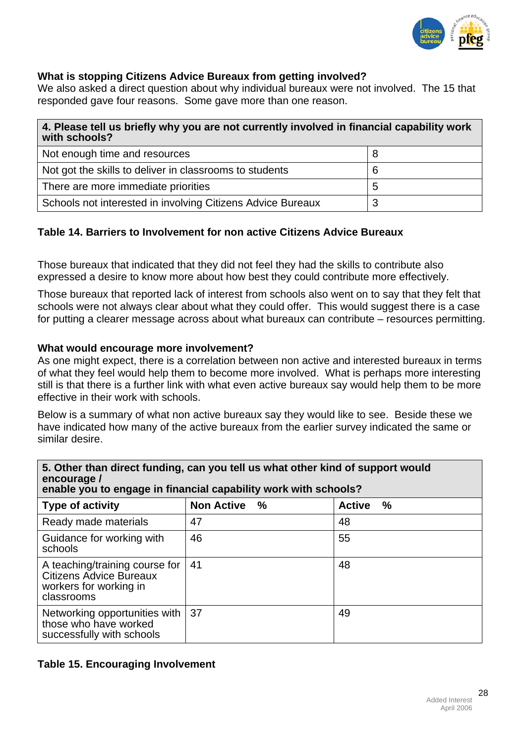

# **What is stopping Citizens Advice Bureaux from getting involved?**

We also asked a direct question about why individual bureaux were not involved. The 15 that responded gave four reasons. Some gave more than one reason.

| 4. Please tell us briefly why you are not currently involved in financial capability work<br>with schools? |   |  |  |
|------------------------------------------------------------------------------------------------------------|---|--|--|
| Not enough time and resources                                                                              |   |  |  |
| Not got the skills to deliver in classrooms to students                                                    | 6 |  |  |
| There are more immediate priorities                                                                        | 5 |  |  |
| Schools not interested in involving Citizens Advice Bureaux<br>3                                           |   |  |  |

# **Table 14. Barriers to Involvement for non active Citizens Advice Bureaux**

Those bureaux that indicated that they did not feel they had the skills to contribute also expressed a desire to know more about how best they could contribute more effectively.

Those bureaux that reported lack of interest from schools also went on to say that they felt that schools were not always clear about what they could offer. This would suggest there is a case for putting a clearer message across about what bureaux can contribute – resources permitting.

#### **What would encourage more involvement?**

As one might expect, there is a correlation between non active and interested bureaux in terms of what they feel would help them to become more involved. What is perhaps more interesting still is that there is a further link with what even active bureaux say would help them to be more effective in their work with schools.

Below is a summary of what non active bureaux say they would like to see. Beside these we have indicated how many of the active bureaux from the earlier survey indicated the same or similar desire.

| 5. Other than direct funding, can you tell us what other kind of support would<br>encourage /<br>enable you to engage in financial capability work with schools? |                           |                       |  |
|------------------------------------------------------------------------------------------------------------------------------------------------------------------|---------------------------|-----------------------|--|
| <b>Type of activity</b>                                                                                                                                          | <b>Non Active</b><br>$\%$ | <b>Active</b><br>$\%$ |  |
| Ready made materials                                                                                                                                             | 47                        | 48                    |  |
| Guidance for working with<br>schools                                                                                                                             | 46                        | 55                    |  |
| A teaching/training course for<br>Citizens Advice Bureaux<br>workers for working in<br>classrooms                                                                | 41                        | 48                    |  |
| Networking opportunities with<br>those who have worked<br>successfully with schools                                                                              | 37                        | 49                    |  |

# **5. Other than direct funding, can you tell us what other kind of support would**

#### **Table 15. Encouraging Involvement**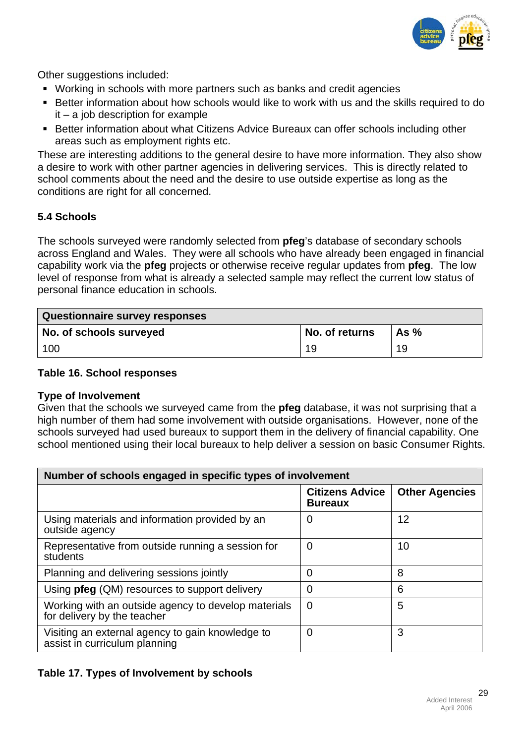

Other suggestions included:

- Working in schools with more partners such as banks and credit agencies
- **Better information about how schools would like to work with us and the skills required to do** it – a job description for example
- **Better information about what Citizens Advice Bureaux can offer schools including other** areas such as employment rights etc.

These are interesting additions to the general desire to have more information. They also show a desire to work with other partner agencies in delivering services. This is directly related to school comments about the need and the desire to use outside expertise as long as the conditions are right for all concerned.

# **5.4 Schools**

The schools surveyed were randomly selected from **pfeg**'s database of secondary schools across England and Wales. They were all schools who have already been engaged in financial capability work via the **pfeg** projects or otherwise receive regular updates from **pfeg**. The low level of response from what is already a selected sample may reflect the current low status of personal finance education in schools.

| <b>Questionnaire survey responses</b> |                |        |
|---------------------------------------|----------------|--------|
| No. of schools surveyed               | No. of returns | As $%$ |
| 100                                   | 19             | 19     |

## **Table 16. School responses**

# **Type of Involvement**

Given that the schools we surveyed came from the **pfeg** database, it was not surprising that a high number of them had some involvement with outside organisations. However, none of the schools surveyed had used bureaux to support them in the delivery of financial capability. One school mentioned using their local bureaux to help deliver a session on basic Consumer Rights.

| Number of schools engaged in specific types of involvement                         |                                          |                       |  |
|------------------------------------------------------------------------------------|------------------------------------------|-----------------------|--|
|                                                                                    | <b>Citizens Advice</b><br><b>Bureaux</b> | <b>Other Agencies</b> |  |
| Using materials and information provided by an<br>outside agency                   | 0                                        | 12                    |  |
| Representative from outside running a session for<br>students                      | 0                                        | 10                    |  |
| Planning and delivering sessions jointly                                           | 0                                        | 8                     |  |
| Using pfeg (QM) resources to support delivery                                      | 0                                        | 6                     |  |
| Working with an outside agency to develop materials<br>for delivery by the teacher | $\overline{0}$                           | 5                     |  |
| Visiting an external agency to gain knowledge to<br>assist in curriculum planning  | 0                                        | 3                     |  |

# **Table 17. Types of Involvement by schools**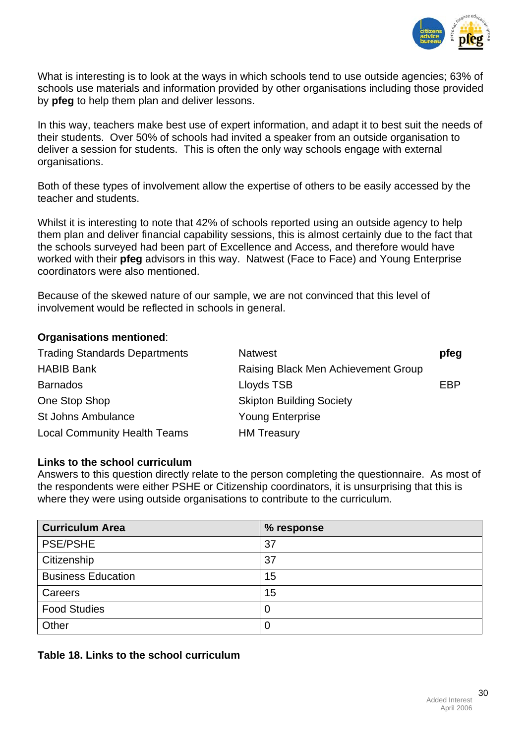

What is interesting is to look at the ways in which schools tend to use outside agencies; 63% of schools use materials and information provided by other organisations including those provided by **pfeg** to help them plan and deliver lessons.

In this way, teachers make best use of expert information, and adapt it to best suit the needs of their students. Over 50% of schools had invited a speaker from an outside organisation to deliver a session for students. This is often the only way schools engage with external organisations.

Both of these types of involvement allow the expertise of others to be easily accessed by the teacher and students.

Whilst it is interesting to note that 42% of schools reported using an outside agency to help them plan and deliver financial capability sessions, this is almost certainly due to the fact that the schools surveyed had been part of Excellence and Access, and therefore would have worked with their **pfeg** advisors in this way. Natwest (Face to Face) and Young Enterprise coordinators were also mentioned.

Because of the skewed nature of our sample, we are not convinced that this level of involvement would be reflected in schools in general.

#### **Organisations mentioned**:

| <b>Trading Standards Departments</b> | <b>Natwest</b>                      | pfeg |
|--------------------------------------|-------------------------------------|------|
| <b>HABIB Bank</b>                    | Raising Black Men Achievement Group |      |
| <b>Barnados</b>                      | Lloyds TSB                          | EBP  |
| One Stop Shop                        | <b>Skipton Building Society</b>     |      |
| <b>St Johns Ambulance</b>            | <b>Young Enterprise</b>             |      |
| <b>Local Community Health Teams</b>  | <b>HM Treasury</b>                  |      |

#### **Links to the school curriculum**

Answers to this question directly relate to the person completing the questionnaire. As most of the respondents were either PSHE or Citizenship coordinators, it is unsurprising that this is where they were using outside organisations to contribute to the curriculum.

| <b>Curriculum Area</b>    | % response  |
|---------------------------|-------------|
| <b>PSE/PSHE</b>           | 37          |
| Citizenship               | 37          |
| <b>Business Education</b> | 15          |
| Careers                   | 15          |
| <b>Food Studies</b>       | $\mathbf 0$ |
| Other                     | 0           |

**Table 18. Links to the school curriculum**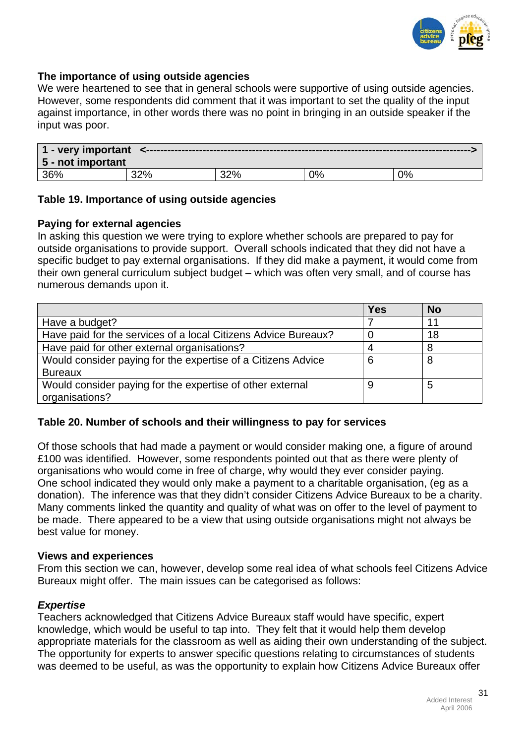

## **The importance of using outside agencies**

We were heartened to see that in general schools were supportive of using outside agencies. However, some respondents did comment that it was important to set the quality of the input against importance, in other words there was no point in bringing in an outside speaker if the input was poor.

| 1 - very important<br>5 - not important |  |     |       |    |
|-----------------------------------------|--|-----|-------|----|
| 36%                                     |  | ാറാ | $2\%$ | 2% |

#### **Table 19. Importance of using outside agencies**

#### **Paying for external agencies**

In asking this question we were trying to explore whether schools are prepared to pay for outside organisations to provide support. Overall schools indicated that they did not have a specific budget to pay external organisations. If they did make a payment, it would come from their own general curriculum subject budget – which was often very small, and of course has numerous demands upon it.

|                                                                | <b>Yes</b> | <b>No</b> |
|----------------------------------------------------------------|------------|-----------|
| Have a budget?                                                 |            | 11        |
| Have paid for the services of a local Citizens Advice Bureaux? |            | 18        |
| Have paid for other external organisations?                    |            | 8         |
| Would consider paying for the expertise of a Citizens Advice   | 6          | 8         |
| <b>Bureaux</b>                                                 |            |           |
| Would consider paying for the expertise of other external      |            | 5         |
| organisations?                                                 |            |           |

# **Table 20. Number of schools and their willingness to pay for services**

Of those schools that had made a payment or would consider making one, a figure of around £100 was identified. However, some respondents pointed out that as there were plenty of organisations who would come in free of charge, why would they ever consider paying. One school indicated they would only make a payment to a charitable organisation, (eg as a donation). The inference was that they didn't consider Citizens Advice Bureaux to be a charity. Many comments linked the quantity and quality of what was on offer to the level of payment to be made. There appeared to be a view that using outside organisations might not always be best value for money.

#### **Views and experiences**

From this section we can, however, develop some real idea of what schools feel Citizens Advice Bureaux might offer. The main issues can be categorised as follows:

#### *Expertise*

Teachers acknowledged that Citizens Advice Bureaux staff would have specific, expert knowledge, which would be useful to tap into. They felt that it would help them develop appropriate materials for the classroom as well as aiding their own understanding of the subject. The opportunity for experts to answer specific questions relating to circumstances of students was deemed to be useful, as was the opportunity to explain how Citizens Advice Bureaux offer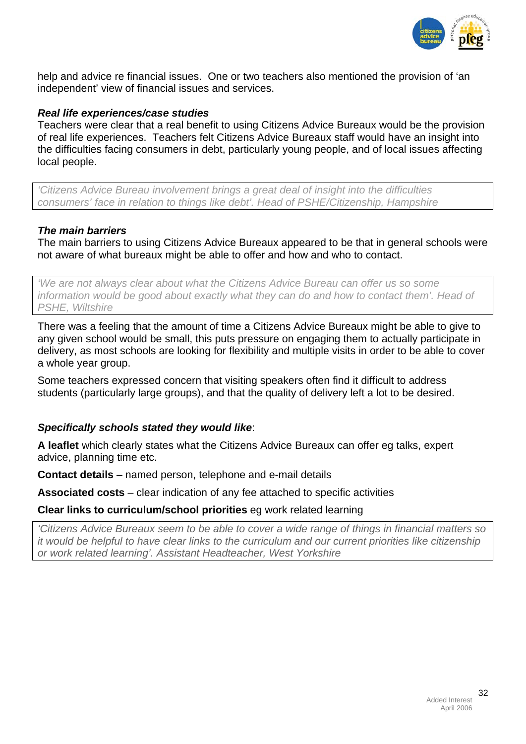

help and advice re financial issues. One or two teachers also mentioned the provision of 'an independent' view of financial issues and services.

#### *Real life experiences/case studies*

Teachers were clear that a real benefit to using Citizens Advice Bureaux would be the provision of real life experiences. Teachers felt Citizens Advice Bureaux staff would have an insight into the difficulties facing consumers in debt, particularly young people, and of local issues affecting local people.

*'Citizens Advice Bureau involvement brings a great deal of insight into the difficulties consumers' face in relation to things like debt'. Head of PSHE/Citizenship, Hampshire* 

#### *The main barriers*

The main barriers to using Citizens Advice Bureaux appeared to be that in general schools were not aware of what bureaux might be able to offer and how and who to contact.

*'We are not always clear about what the Citizens Advice Bureau can offer us so some information would be good about exactly what they can do and how to contact them'. Head of PSHE, Wiltshire* 

There was a feeling that the amount of time a Citizens Advice Bureaux might be able to give to any given school would be small, this puts pressure on engaging them to actually participate in delivery, as most schools are looking for flexibility and multiple visits in order to be able to cover a whole year group.

Some teachers expressed concern that visiting speakers often find it difficult to address students (particularly large groups), and that the quality of delivery left a lot to be desired.

#### *Specifically schools stated they would like*:

**A leaflet** which clearly states what the Citizens Advice Bureaux can offer eg talks, expert advice, planning time etc.

**Contact details** – named person, telephone and e-mail details

**Associated costs** – clear indication of any fee attached to specific activities

#### **Clear links to curriculum/school priorities** eg work related learning

*'Citizens Advice Bureaux seem to be able to cover a wide range of things in financial matters so it would be helpful to have clear links to the curriculum and our current priorities like citizenship or work related learning'. Assistant Headteacher, West Yorkshire*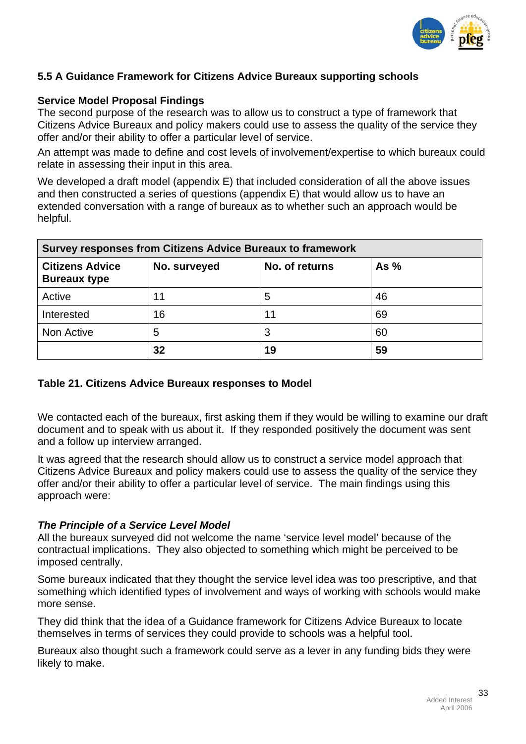

# **5.5 A Guidance Framework for Citizens Advice Bureaux supporting schools**

## **Service Model Proposal Findings**

The second purpose of the research was to allow us to construct a type of framework that Citizens Advice Bureaux and policy makers could use to assess the quality of the service they offer and/or their ability to offer a particular level of service.

An attempt was made to define and cost levels of involvement/expertise to which bureaux could relate in assessing their input in this area.

We developed a draft model (appendix E) that included consideration of all the above issues and then constructed a series of questions (appendix E) that would allow us to have an extended conversation with a range of bureaux as to whether such an approach would be helpful.

| <b>Survey responses from Citizens Advice Bureaux to framework</b> |        |    |    |
|-------------------------------------------------------------------|--------|----|----|
| <b>Citizens Advice</b><br><b>Bureaux type</b>                     | As $%$ |    |    |
| Active                                                            | 11     | 5  | 46 |
| Interested                                                        | 16     | 11 | 69 |
| Non Active                                                        | 5      | 3  | 60 |
|                                                                   | 32     | 19 | 59 |

#### **Table 21. Citizens Advice Bureaux responses to Model**

We contacted each of the bureaux, first asking them if they would be willing to examine our draft document and to speak with us about it. If they responded positively the document was sent and a follow up interview arranged.

It was agreed that the research should allow us to construct a service model approach that Citizens Advice Bureaux and policy makers could use to assess the quality of the service they offer and/or their ability to offer a particular level of service. The main findings using this approach were:

#### *The Principle of a Service Level Model*

All the bureaux surveyed did not welcome the name 'service level model' because of the contractual implications. They also objected to something which might be perceived to be imposed centrally.

Some bureaux indicated that they thought the service level idea was too prescriptive, and that something which identified types of involvement and ways of working with schools would make more sense.

They did think that the idea of a Guidance framework for Citizens Advice Bureaux to locate themselves in terms of services they could provide to schools was a helpful tool.

Bureaux also thought such a framework could serve as a lever in any funding bids they were likely to make.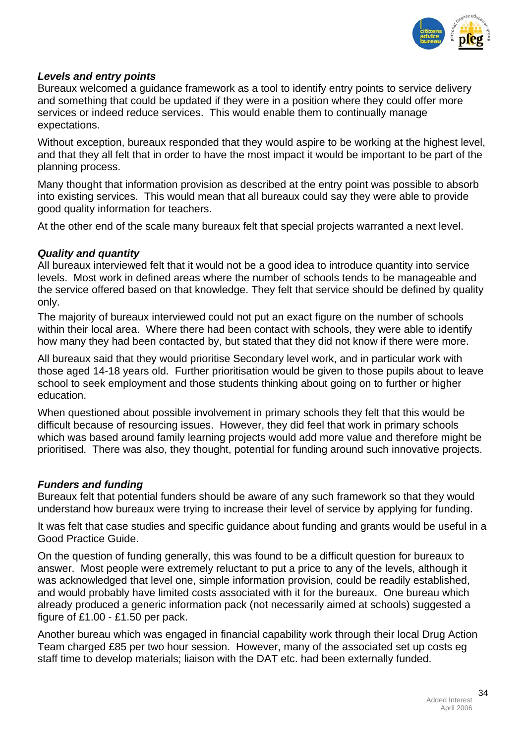

# *Levels and entry points*

Bureaux welcomed a guidance framework as a tool to identify entry points to service delivery and something that could be updated if they were in a position where they could offer more services or indeed reduce services. This would enable them to continually manage expectations.

Without exception, bureaux responded that they would aspire to be working at the highest level, and that they all felt that in order to have the most impact it would be important to be part of the planning process.

Many thought that information provision as described at the entry point was possible to absorb into existing services. This would mean that all bureaux could say they were able to provide good quality information for teachers.

At the other end of the scale many bureaux felt that special projects warranted a next level.

# *Quality and quantity*

All bureaux interviewed felt that it would not be a good idea to introduce quantity into service levels. Most work in defined areas where the number of schools tends to be manageable and the service offered based on that knowledge. They felt that service should be defined by quality only.

The majority of bureaux interviewed could not put an exact figure on the number of schools within their local area. Where there had been contact with schools, they were able to identify how many they had been contacted by, but stated that they did not know if there were more.

All bureaux said that they would prioritise Secondary level work, and in particular work with those aged 14-18 years old. Further prioritisation would be given to those pupils about to leave school to seek employment and those students thinking about going on to further or higher education.

When questioned about possible involvement in primary schools they felt that this would be difficult because of resourcing issues. However, they did feel that work in primary schools which was based around family learning projects would add more value and therefore might be prioritised. There was also, they thought, potential for funding around such innovative projects.

# *Funders and funding*

Bureaux felt that potential funders should be aware of any such framework so that they would understand how bureaux were trying to increase their level of service by applying for funding.

It was felt that case studies and specific guidance about funding and grants would be useful in a Good Practice Guide.

On the question of funding generally, this was found to be a difficult question for bureaux to answer. Most people were extremely reluctant to put a price to any of the levels, although it was acknowledged that level one, simple information provision, could be readily established, and would probably have limited costs associated with it for the bureaux. One bureau which already produced a generic information pack (not necessarily aimed at schools) suggested a figure of £1.00 - £1.50 per pack.

Another bureau which was engaged in financial capability work through their local Drug Action Team charged £85 per two hour session. However, many of the associated set up costs eg staff time to develop materials; liaison with the DAT etc. had been externally funded.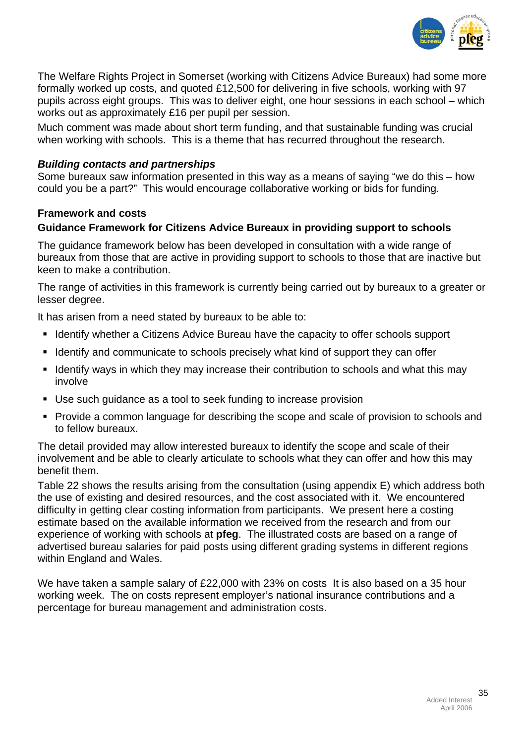

The Welfare Rights Project in Somerset (working with Citizens Advice Bureaux) had some more formally worked up costs, and quoted £12,500 for delivering in five schools, working with 97 pupils across eight groups. This was to deliver eight, one hour sessions in each school – which works out as approximately £16 per pupil per session.

Much comment was made about short term funding, and that sustainable funding was crucial when working with schools. This is a theme that has recurred throughout the research.

# *Building contacts and partnerships*

Some bureaux saw information presented in this way as a means of saying "we do this – how could you be a part?" This would encourage collaborative working or bids for funding.

# **Framework and costs**

# **Guidance Framework for Citizens Advice Bureaux in providing support to schools**

The guidance framework below has been developed in consultation with a wide range of bureaux from those that are active in providing support to schools to those that are inactive but keen to make a contribution.

The range of activities in this framework is currently being carried out by bureaux to a greater or lesser degree.

It has arisen from a need stated by bureaux to be able to:

- **If Identify whether a Citizens Advice Bureau have the capacity to offer schools support**
- I dentify and communicate to schools precisely what kind of support they can offer
- I Identify ways in which they may increase their contribution to schools and what this may involve
- Use such guidance as a tool to seek funding to increase provision
- **Provide a common language for describing the scope and scale of provision to schools and** to fellow bureaux.

The detail provided may allow interested bureaux to identify the scope and scale of their involvement and be able to clearly articulate to schools what they can offer and how this may benefit them.

Table 22 shows the results arising from the consultation (using appendix E) which address both the use of existing and desired resources, and the cost associated with it. We encountered difficulty in getting clear costing information from participants. We present here a costing estimate based on the available information we received from the research and from our experience of working with schools at **pfeg**. The illustrated costs are based on a range of advertised bureau salaries for paid posts using different grading systems in different regions within England and Wales.

We have taken a sample salary of £22,000 with 23% on costs It is also based on a 35 hour working week. The on costs represent employer's national insurance contributions and a percentage for bureau management and administration costs.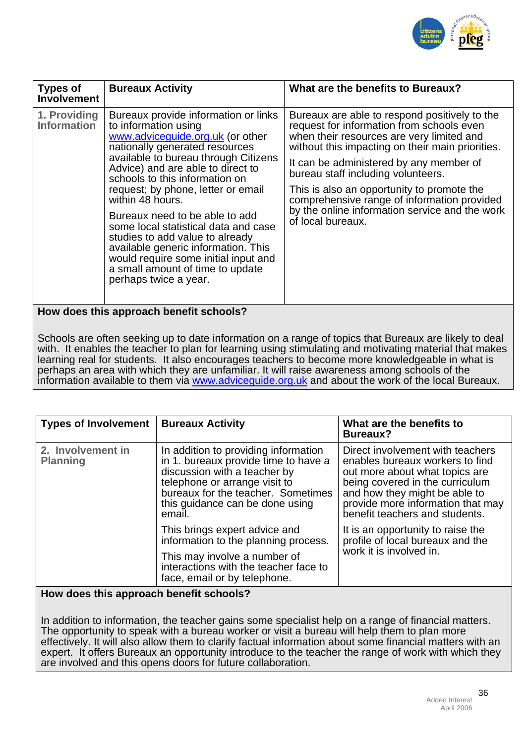

| <b>Types of</b><br><b>Involvement</b> | <b>Bureaux Activity</b>                                                                                                                                                                                                                                                                                                                                                                                                                                                                                                                                              | What are the benefits to Bureaux?                                                                                                                                                                                                                                                                                                                                                                                                                |
|---------------------------------------|----------------------------------------------------------------------------------------------------------------------------------------------------------------------------------------------------------------------------------------------------------------------------------------------------------------------------------------------------------------------------------------------------------------------------------------------------------------------------------------------------------------------------------------------------------------------|--------------------------------------------------------------------------------------------------------------------------------------------------------------------------------------------------------------------------------------------------------------------------------------------------------------------------------------------------------------------------------------------------------------------------------------------------|
| 1. Providing<br><b>Information</b>    | Bureaux provide information or links<br>to information using<br>www.adviceguide.org.uk (or other<br>nationally generated resources<br>available to bureau through Citizens<br>Advice) and are able to direct to<br>schools to this information on<br>request; by phone, letter or email<br>within 48 hours.<br>Bureaux need to be able to add<br>some local statistical data and case<br>studies to add value to already<br>available generic information. This<br>would require some initial input and<br>a small amount of time to update<br>perhaps twice a year. | Bureaux are able to respond positively to the<br>request for information from schools even<br>when their resources are very limited and<br>without this impacting on their main priorities.<br>It can be administered by any member of<br>bureau staff including volunteers.<br>This is also an opportunity to promote the<br>comprehensive range of information provided<br>by the online information service and the work<br>of local bureaux. |
|                                       | How does this approach benefit schools?                                                                                                                                                                                                                                                                                                                                                                                                                                                                                                                              |                                                                                                                                                                                                                                                                                                                                                                                                                                                  |

Schools are often seeking up to date information on a range of topics that Bureaux are likely to deal with. It enables the teacher to plan for learning using stimulating and motivating material that makes learning real for students. It also encourages teachers to become more knowledgeable in what is perhaps an area with which they are unfamiliar. It will raise awareness among schools of the information available to them via [www.adviceguide.org.uk](http://www.adviceguide.org.uk/) and about the work of the local Bureaux.

| <b>Types of Involvement</b>          | <b>Bureaux Activity</b>                                                                                                                                                                                                          | What are the benefits to<br><b>Bureaux?</b>                                                                                                                                                                                                      |
|--------------------------------------|----------------------------------------------------------------------------------------------------------------------------------------------------------------------------------------------------------------------------------|--------------------------------------------------------------------------------------------------------------------------------------------------------------------------------------------------------------------------------------------------|
| 2. Involvement in<br><b>Planning</b> | In addition to providing information<br>in 1. bureaux provide time to have a<br>discussion with a teacher by<br>telephone or arrange visit to<br>bureaux for the teacher. Sometimes<br>this guidance can be done using<br>email. | Direct involvement with teachers<br>enables bureaux workers to find<br>out more about what topics are<br>being covered in the curriculum<br>and how they might be able to<br>provide more information that may<br>benefit teachers and students. |
|                                      | This brings expert advice and<br>information to the planning process.                                                                                                                                                            | It is an opportunity to raise the<br>profile of local bureaux and the                                                                                                                                                                            |
|                                      | This may involve a number of<br>interactions with the teacher face to<br>face, email or by telephone.                                                                                                                            | work it is involved in.                                                                                                                                                                                                                          |

**How does this approach benefit schools?** 

In addition to information, the teacher gains some specialist help on a range of financial matters. The opportunity to speak with a bureau worker or visit a bureau will help them to plan more effectively. It will also allow them to clarify factual information about some financial matters with an expert. It offers Bureaux an opportunity introduce to the teacher the range of work with which they are involved and this opens doors for future collaboration.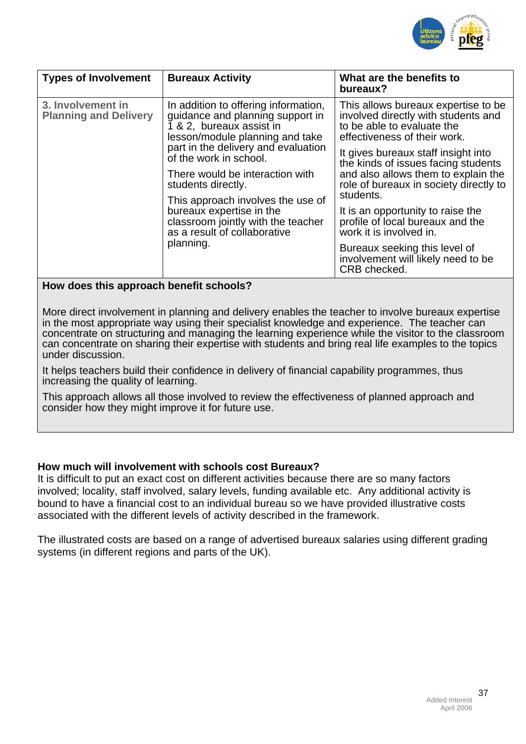

| <b>Types of Involvement</b>                       | <b>Bureaux Activity</b>                                                                                                                                                                                                                                                                                                                                                                                               | What are the benefits to<br>bureaux?                                                                                                                                                                                                                                                                                                                                                                                                                                                                             |
|---------------------------------------------------|-----------------------------------------------------------------------------------------------------------------------------------------------------------------------------------------------------------------------------------------------------------------------------------------------------------------------------------------------------------------------------------------------------------------------|------------------------------------------------------------------------------------------------------------------------------------------------------------------------------------------------------------------------------------------------------------------------------------------------------------------------------------------------------------------------------------------------------------------------------------------------------------------------------------------------------------------|
| 3. Involvement in<br><b>Planning and Delivery</b> | In addition to offering information,<br>guidance and planning support in<br>1 & 2, bureaux assist in<br>lesson/module planning and take<br>part in the delivery and evaluation<br>of the work in school.<br>There would be interaction with<br>students directly.<br>This approach involves the use of<br>bureaux expertise in the<br>classroom jointly with the teacher<br>as a result of collaborative<br>planning. | This allows bureaux expertise to be.<br>involved directly with students and<br>to be able to evaluate the<br>effectiveness of their work.<br>It gives bureaux staff insight into<br>the kinds of issues facing students<br>and also allows them to explain the<br>role of bureaux in society directly to<br>students.<br>It is an opportunity to raise the<br>profile of local bureaux and the<br>work it is involved in.<br>Bureaux seeking this level of<br>involvement will likely need to be<br>CRB checked. |

#### **How does this approach benefit schools?**

More direct involvement in planning and delivery enables the teacher to involve bureaux expertise in the most appropriate way using their specialist knowledge and experience. The teacher can concentrate on structuring and managing the learning experience while the visitor to the classroom can concentrate on sharing their expertise with students and bring real life examples to the topics under discussion.

It helps teachers build their confidence in delivery of financial capability programmes, thus increasing the quality of learning.

This approach allows all those involved to review the effectiveness of planned approach and consider how they might improve it for future use.

#### **How much will involvement with schools cost Bureaux?**

It is difficult to put an exact cost on different activities because there are so many factors involved; locality, staff involved, salary levels, funding available etc. Any additional activity is bound to have a financial cost to an individual bureau so we have provided illustrative costs associated with the different levels of activity described in the framework.

The illustrated costs are based on a range of advertised bureaux salaries using different grading systems (in different regions and parts of the UK).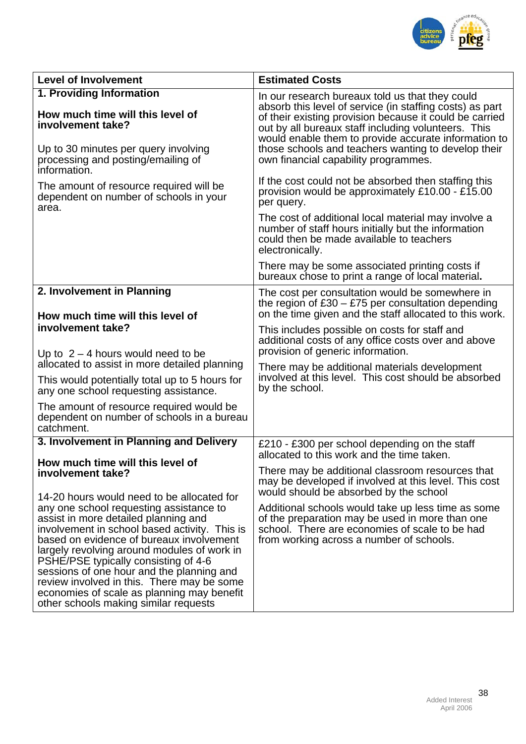

| <b>Level of Involvement</b>                                                                                                                                                                                                                                                                                                                                                                                                                           | <b>Estimated Costs</b>                                                                                                                                                                                                                                                                                                                                                               |  |
|-------------------------------------------------------------------------------------------------------------------------------------------------------------------------------------------------------------------------------------------------------------------------------------------------------------------------------------------------------------------------------------------------------------------------------------------------------|--------------------------------------------------------------------------------------------------------------------------------------------------------------------------------------------------------------------------------------------------------------------------------------------------------------------------------------------------------------------------------------|--|
| 1. Providing Information<br>How much time will this level of<br>involvement take?<br>Up to 30 minutes per query involving<br>processing and posting/emailing of<br>information.                                                                                                                                                                                                                                                                       | In our research bureaux told us that they could<br>absorb this level of service (in staffing costs) as part<br>of their existing provision because it could be carried<br>out by all bureaux staff including volunteers. This<br>would enable them to provide accurate information to<br>those schools and teachers wanting to develop their<br>own financial capability programmes. |  |
| The amount of resource required will be<br>dependent on number of schools in your<br>area.                                                                                                                                                                                                                                                                                                                                                            | If the cost could not be absorbed then staffing this<br>provision would be approximately £10.00 - £15.00<br>per query.<br>The cost of additional local material may involve a<br>number of staff hours initially but the information<br>could then be made available to teachers<br>electronically.                                                                                  |  |
|                                                                                                                                                                                                                                                                                                                                                                                                                                                       | There may be some associated printing costs if<br>bureaux chose to print a range of local material.                                                                                                                                                                                                                                                                                  |  |
| 2. Involvement in Planning<br>How much time will this level of                                                                                                                                                                                                                                                                                                                                                                                        | The cost per consultation would be somewhere in<br>the region of $£30 - £75$ per consultation depending<br>on the time given and the staff allocated to this work.                                                                                                                                                                                                                   |  |
| involvement take?<br>Up to $2 - 4$ hours would need to be<br>allocated to assist in more detailed planning                                                                                                                                                                                                                                                                                                                                            | This includes possible on costs for staff and<br>additional costs of any office costs over and above<br>provision of generic information.                                                                                                                                                                                                                                            |  |
| This would potentially total up to 5 hours for<br>any one school requesting assistance.                                                                                                                                                                                                                                                                                                                                                               | There may be additional materials development<br>involved at this level. This cost should be absorbed<br>by the school.                                                                                                                                                                                                                                                              |  |
| The amount of resource required would be<br>dependent on number of schools in a bureau<br>catchment.                                                                                                                                                                                                                                                                                                                                                  |                                                                                                                                                                                                                                                                                                                                                                                      |  |
| 3. Involvement in Planning and Delivery                                                                                                                                                                                                                                                                                                                                                                                                               | £210 - £300 per school depending on the staff<br>allocated to this work and the time taken.                                                                                                                                                                                                                                                                                          |  |
| How much time will this level of<br>involvement take?<br>14-20 hours would need to be allocated for                                                                                                                                                                                                                                                                                                                                                   | There may be additional classroom resources that<br>may be developed if involved at this level. This cost<br>would should be absorbed by the school                                                                                                                                                                                                                                  |  |
| any one school requesting assistance to<br>assist in more detailed planning and<br>involvement in school based activity. This is<br>based on evidence of bureaux involvement<br>largely revolving around modules of work in<br>PSHE/PSE typically consisting of 4-6<br>sessions of one hour and the planning and<br>review involved in this. There may be some<br>economies of scale as planning may benefit<br>other schools making similar requests | Additional schools would take up less time as some<br>of the preparation may be used in more than one<br>school. There are economies of scale to be had<br>from working across a number of schools.                                                                                                                                                                                  |  |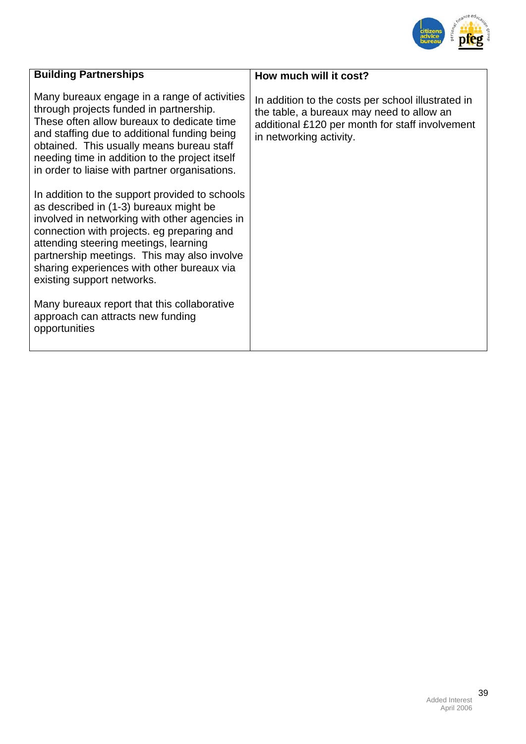

| How much will it cost?                                                                                                                                                        |
|-------------------------------------------------------------------------------------------------------------------------------------------------------------------------------|
| In addition to the costs per school illustrated in<br>the table, a bureaux may need to allow an<br>additional £120 per month for staff involvement<br>in networking activity. |
|                                                                                                                                                                               |
|                                                                                                                                                                               |
|                                                                                                                                                                               |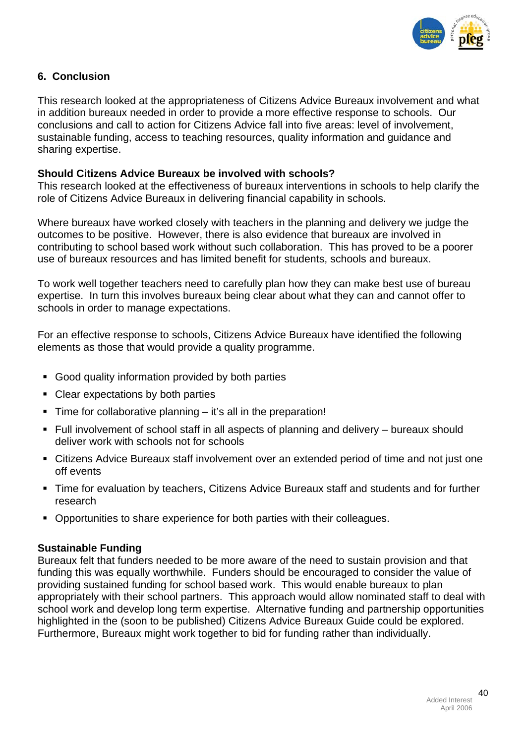

# **6. Conclusion**

This research looked at the appropriateness of Citizens Advice Bureaux involvement and what in addition bureaux needed in order to provide a more effective response to schools. Our conclusions and call to action for Citizens Advice fall into five areas: level of involvement, sustainable funding, access to teaching resources, quality information and guidance and sharing expertise.

#### **Should Citizens Advice Bureaux be involved with schools?**

This research looked at the effectiveness of bureaux interventions in schools to help clarify the role of Citizens Advice Bureaux in delivering financial capability in schools.

Where bureaux have worked closely with teachers in the planning and delivery we judge the outcomes to be positive. However, there is also evidence that bureaux are involved in contributing to school based work without such collaboration. This has proved to be a poorer use of bureaux resources and has limited benefit for students, schools and bureaux.

To work well together teachers need to carefully plan how they can make best use of bureau expertise. In turn this involves bureaux being clear about what they can and cannot offer to schools in order to manage expectations.

For an effective response to schools, Citizens Advice Bureaux have identified the following elements as those that would provide a quality programme.

- Good quality information provided by both parties
- Clear expectations by both parties
- $\blacksquare$  Time for collaborative planning it's all in the preparation!
- Full involvement of school staff in all aspects of planning and delivery bureaux should deliver work with schools not for schools
- Citizens Advice Bureaux staff involvement over an extended period of time and not just one off events
- Time for evaluation by teachers, Citizens Advice Bureaux staff and students and for further research
- Opportunities to share experience for both parties with their colleagues.

#### **Sustainable Funding**

Bureaux felt that funders needed to be more aware of the need to sustain provision and that funding this was equally worthwhile. Funders should be encouraged to consider the value of providing sustained funding for school based work. This would enable bureaux to plan appropriately with their school partners. This approach would allow nominated staff to deal with school work and develop long term expertise. Alternative funding and partnership opportunities highlighted in the (soon to be published) Citizens Advice Bureaux Guide could be explored. Furthermore, Bureaux might work together to bid for funding rather than individually.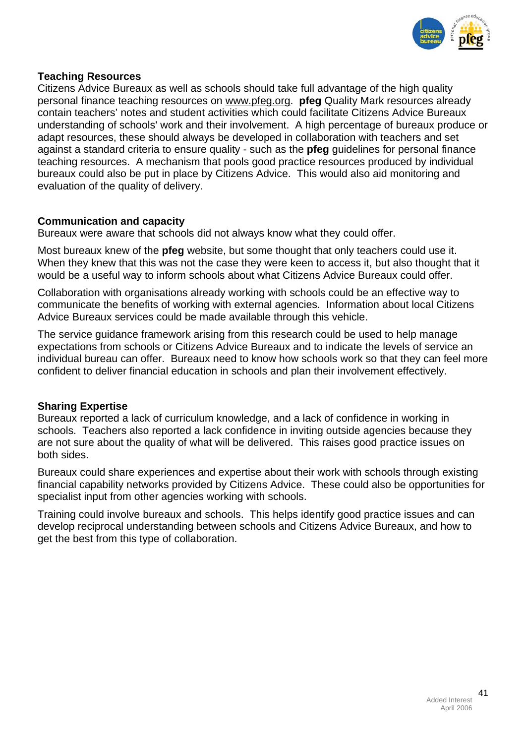

## **Teaching Resources**

Citizens Advice Bureaux as well as schools should take full advantage of the high quality personal finance teaching resources on [www.pfeg.org.](http://www.pfeg.org/) **pfeg** Quality Mark resources already contain teachers' notes and student activities which could facilitate Citizens Advice Bureaux understanding of schools' work and their involvement. A high percentage of bureaux produce or adapt resources, these should always be developed in collaboration with teachers and set against a standard criteria to ensure quality - such as the **pfeg** guidelines for personal finance teaching resources. A mechanism that pools good practice resources produced by individual bureaux could also be put in place by Citizens Advice. This would also aid monitoring and evaluation of the quality of delivery.

#### **Communication and capacity**

Bureaux were aware that schools did not always know what they could offer.

Most bureaux knew of the **pfeg** website, but some thought that only teachers could use it. When they knew that this was not the case they were keen to access it, but also thought that it would be a useful way to inform schools about what Citizens Advice Bureaux could offer.

Collaboration with organisations already working with schools could be an effective way to communicate the benefits of working with external agencies. Information about local Citizens Advice Bureaux services could be made available through this vehicle.

The service guidance framework arising from this research could be used to help manage expectations from schools or Citizens Advice Bureaux and to indicate the levels of service an individual bureau can offer. Bureaux need to know how schools work so that they can feel more confident to deliver financial education in schools and plan their involvement effectively.

# **Sharing Expertise**

Bureaux reported a lack of curriculum knowledge, and a lack of confidence in working in schools. Teachers also reported a lack confidence in inviting outside agencies because they are not sure about the quality of what will be delivered. This raises good practice issues on both sides.

Bureaux could share experiences and expertise about their work with schools through existing financial capability networks provided by Citizens Advice. These could also be opportunities for specialist input from other agencies working with schools.

Training could involve bureaux and schools. This helps identify good practice issues and can develop reciprocal understanding between schools and Citizens Advice Bureaux, and how to get the best from this type of collaboration.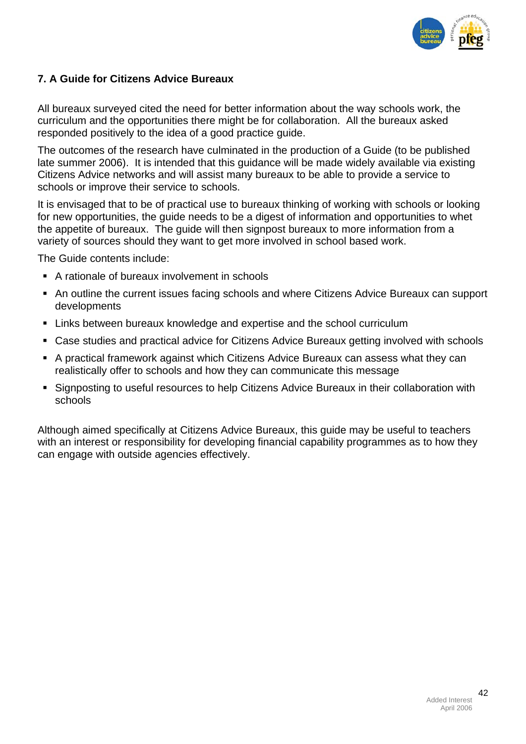

# **7. A Guide for Citizens Advice Bureaux**

All bureaux surveyed cited the need for better information about the way schools work, the curriculum and the opportunities there might be for collaboration. All the bureaux asked responded positively to the idea of a good practice guide.

The outcomes of the research have culminated in the production of a Guide (to be published late summer 2006). It is intended that this guidance will be made widely available via existing Citizens Advice networks and will assist many bureaux to be able to provide a service to schools or improve their service to schools.

It is envisaged that to be of practical use to bureaux thinking of working with schools or looking for new opportunities, the guide needs to be a digest of information and opportunities to whet the appetite of bureaux. The guide will then signpost bureaux to more information from a variety of sources should they want to get more involved in school based work.

The Guide contents include:

- A rationale of bureaux involvement in schools
- An outline the current issues facing schools and where Citizens Advice Bureaux can support developments
- Links between bureaux knowledge and expertise and the school curriculum
- Case studies and practical advice for Citizens Advice Bureaux getting involved with schools
- A practical framework against which Citizens Advice Bureaux can assess what they can realistically offer to schools and how they can communicate this message
- Signposting to useful resources to help Citizens Advice Bureaux in their collaboration with schools

Although aimed specifically at Citizens Advice Bureaux, this guide may be useful to teachers with an interest or responsibility for developing financial capability programmes as to how they can engage with outside agencies effectively.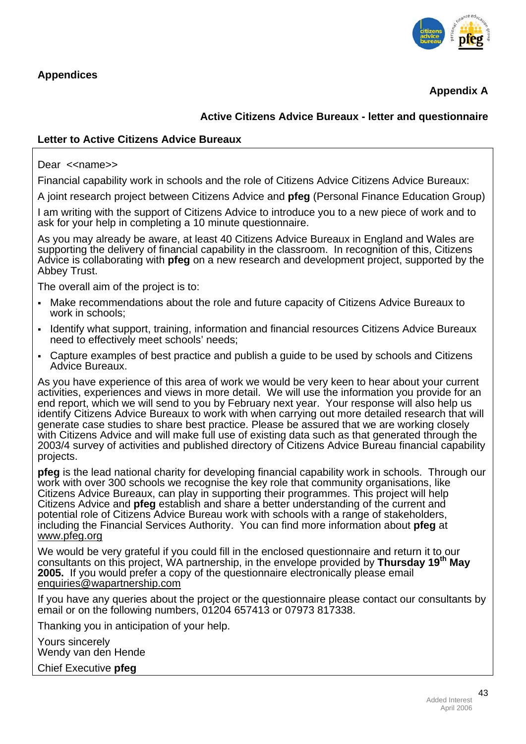

**Appendix A** 

# **Active Citizens Advice Bureaux - letter and questionnaire**

# **Letter to Active Citizens Advice Bureaux**

Dear << name>

Financial capability work in schools and the role of Citizens Advice Citizens Advice Bureaux:

A joint research project between Citizens Advice and **pfeg** (Personal Finance Education Group)

I am writing with the support of Citizens Advice to introduce you to a new piece of work and to ask for your help in completing a 10 minute questionnaire.

As you may already be aware, at least 40 Citizens Advice Bureaux in England and Wales are supporting the delivery of financial capability in the classroom. In recognition of this, Citizens Advice is collaborating with **pfeg** on a new research and development project, supported by the Abbey Trust.

The overall aim of the project is to:

- Make recommendations about the role and future capacity of Citizens Advice Bureaux to work in schools;
- Identify what support, training, information and financial resources Citizens Advice Bureaux need to effectively meet schools' needs;
- Capture examples of best practice and publish a guide to be used by schools and Citizens Advice Bureaux.

As you have experience of this area of work we would be very keen to hear about your current activities, experiences and views in more detail. We will use the information you provide for an end report, which we will send to you by February next year. Your response will also help us identify Citizens Advice Bureaux to work with when carrying out more detailed research that will generate case studies to share best practice. Please be assured that we are working closely with Citizens Advice and will make full use of existing data such as that generated through the 2003/4 survey of activities and published directory of Citizens Advice Bureau financial capability projects.

**pfeg** is the lead national charity for developing financial capability work in schools. Through our work with over 300 schools we recognise the key role that community organisations, like Citizens Advice Bureaux, can play in supporting their programmes. This project will help Citizens Advice and **pfeg** establish and share a better understanding of the current and potential role of Citizens Advice Bureau work with schools with a range of stakeholders, including the Financial Services Authority. You can find more information about **pfeg** at [www.pfeg.org](http://www.pfeg.org/) 

We would be very grateful if you could fill in the enclosed questionnaire and return it to our consultants on this project, WA partnership, in the envelope provided by **Thursday 19th May 2005.** If you would prefer a copy of the questionnaire electronically please email [enquiries@wapartnership.com](mailto:enquiries@wapartnership.com) 

If you have any queries about the project or the questionnaire please contact our consultants by email or on the following numbers, 01204 657413 or 07973 817338.

Thanking you in anticipation of your help.

Yours sincerely Wendy van den Hende

Chief Executive **pfeg**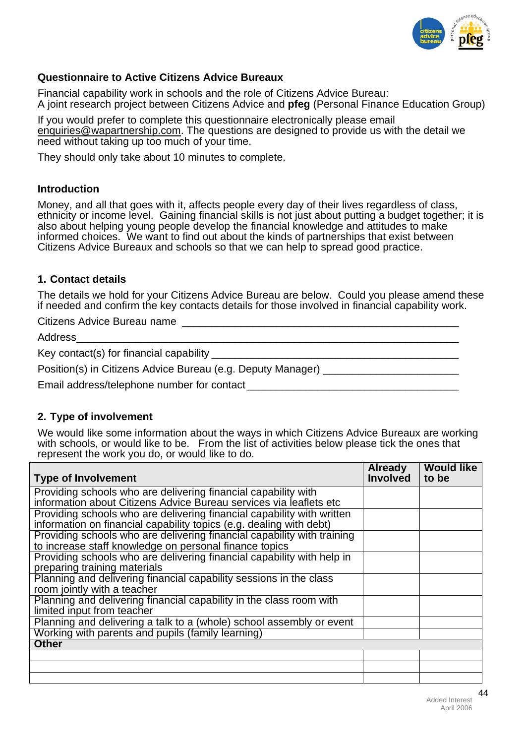

## **Questionnaire to Active Citizens Advice Bureaux**

Financial capability work in schools and the role of Citizens Advice Bureau: A joint research project between Citizens Advice and **pfeg** (Personal Finance Education Group)

If you would prefer to complete this questionnaire electronically please email [enquiries@wapartnership.com.](mailto:enquiries@wapartnership.com) The questions are designed to provide us with the detail we need without taking up too much of your time.

They should only take about 10 minutes to complete.

#### **Introduction**

Money, and all that goes with it, affects people every day of their lives regardless of class, ethnicity or income level. Gaining financial skills is not just about putting a budget together; it is also about helping young people develop the financial knowledge and attitudes to make informed choices. We want to find out about the kinds of partnerships that exist between Citizens Advice Bureaux and schools so that we can help to spread good practice.

#### **1. Contact details**

The details we hold for your Citizens Advice Bureau are below. Could you please amend these if needed and confirm the key contacts details for those involved in financial capability work.

Citizens Advice Bureau name

Address\_\_\_\_\_\_\_\_\_\_\_\_\_\_\_\_\_\_\_\_\_\_\_\_\_\_\_\_\_\_\_\_\_\_\_\_\_\_\_\_\_\_\_\_\_\_\_\_\_\_\_\_\_\_\_\_\_\_\_\_\_\_\_\_\_

Key contact(s) for financial capability

Position(s) in Citizens Advice Bureau (e.g. Deputy Manager)

Email address/telephone number for contact

# **2. Type of involvement**

We would like some information about the ways in which Citizens Advice Bureaux are working with schools, or would like to be. From the list of activities below please tick the ones that represent the work you do, or would like to do.

| <b>Type of Involvement</b>                                              | <b>Already</b><br><b>Involved</b> | <b>Would like</b><br>to be |
|-------------------------------------------------------------------------|-----------------------------------|----------------------------|
|                                                                         |                                   |                            |
| Providing schools who are delivering financial capability with          |                                   |                            |
| information about Citizens Advice Bureau services via leaflets etc      |                                   |                            |
| Providing schools who are delivering financial capability with written  |                                   |                            |
| information on financial capability topics (e.g. dealing with debt)     |                                   |                            |
| Providing schools who are delivering financial capability with training |                                   |                            |
| to increase staff knowledge on personal finance topics                  |                                   |                            |
| Providing schools who are delivering financial capability with help in  |                                   |                            |
| preparing training materials                                            |                                   |                            |
| Planning and delivering financial capability sessions in the class      |                                   |                            |
| room jointly with a teacher                                             |                                   |                            |
| Planning and delivering financial capability in the class room with     |                                   |                            |
| limited input from teacher                                              |                                   |                            |
| Planning and delivering a talk to a (whole) school assembly or event    |                                   |                            |
| Working with parents and pupils (family learning)                       |                                   |                            |
| <b>Other</b>                                                            |                                   |                            |
|                                                                         |                                   |                            |
|                                                                         |                                   |                            |
|                                                                         |                                   |                            |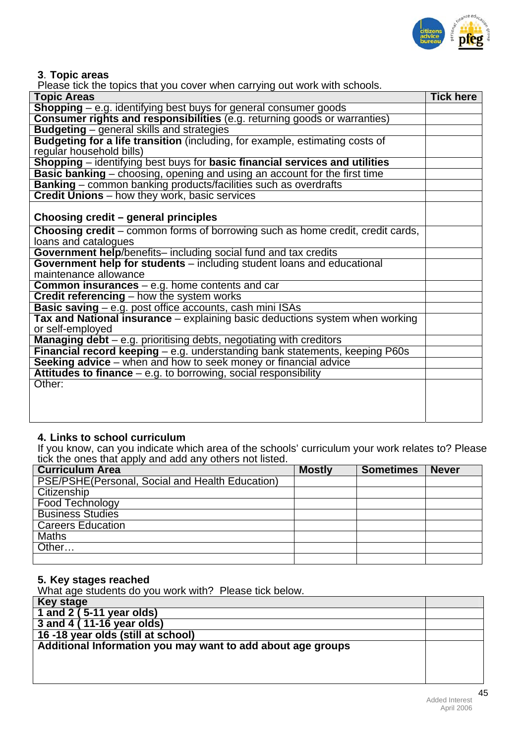

**3**. **Topic areas** 

| Please tick the topics that you cover when carrying out work with schools.            |                  |
|---------------------------------------------------------------------------------------|------------------|
| <b>Topic Areas</b>                                                                    | <b>Tick here</b> |
| <b>Shopping</b> – e.g. identifying best buys for general consumer goods               |                  |
| Consumer rights and responsibilities (e.g. returning goods or warranties)             |                  |
| <b>Budgeting</b> – general skills and strategies                                      |                  |
| Budgeting for a life transition (including, for example, estimating costs of          |                  |
| regular household bills)                                                              |                  |
| Shopping – identifying best buys for basic financial services and utilities           |                  |
| <b>Basic banking</b> – choosing, opening and using an account for the first time      |                  |
| Banking - common banking products/facilities such as overdrafts                       |                  |
| <b>Credit Unions</b> – how they work, basic services                                  |                  |
|                                                                                       |                  |
| Choosing credit – general principles                                                  |                  |
| <b>Choosing credit</b> – common forms of borrowing such as home credit, credit cards, |                  |
| loans and catalogues                                                                  |                  |
| Government help/benefits-including social fund and tax credits                        |                  |
| Government help for students - including student loans and educational                |                  |
| maintenance allowance                                                                 |                  |
| <b>Common insurances</b> $-$ e.g. home contents and car                               |                  |
| Credit referencing - how the system works                                             |                  |
| Basic saving - e.g. post office accounts, cash mini ISAs                              |                  |
| Tax and National insurance – explaining basic deductions system when working          |                  |
| or self-employed                                                                      |                  |
| <b>Managing debt</b> – e.g. prioritising debts, negotiating with creditors            |                  |
| Financial record keeping - e.g. understanding bank statements, keeping P60s           |                  |
| Seeking advice - when and how to seek money or financial advice                       |                  |
| Attitudes to finance $-$ e.g. to borrowing, social responsibility                     |                  |
| Other:                                                                                |                  |
|                                                                                       |                  |
|                                                                                       |                  |
|                                                                                       |                  |

#### **4. Links to school curriculum**

If you know, can you indicate which area of the schools' curriculum your work relates to? Please tick the ones that apply and add any others not listed.

| <b>Curriculum Area</b>                          | <b>Mostly</b> | <b>Sometimes</b> | <b>Never</b> |
|-------------------------------------------------|---------------|------------------|--------------|
| PSE/PSHE(Personal, Social and Health Education) |               |                  |              |
| Citizenship                                     |               |                  |              |
| Food Technology                                 |               |                  |              |
| <b>Business Studies</b>                         |               |                  |              |
| <b>Careers Education</b>                        |               |                  |              |
| <b>Maths</b>                                    |               |                  |              |
| Other                                           |               |                  |              |
|                                                 |               |                  |              |

#### **5. Key stages reached**

What age students do you work with? Please tick below.

| <b>Key stage</b>                                            |  |
|-------------------------------------------------------------|--|
| 1 and 2 (5-11 year olds)                                    |  |
| 3 and 4 (11-16 year olds)                                   |  |
| 16 -18 year olds (still at school)                          |  |
| Additional Information you may want to add about age groups |  |
|                                                             |  |
|                                                             |  |
|                                                             |  |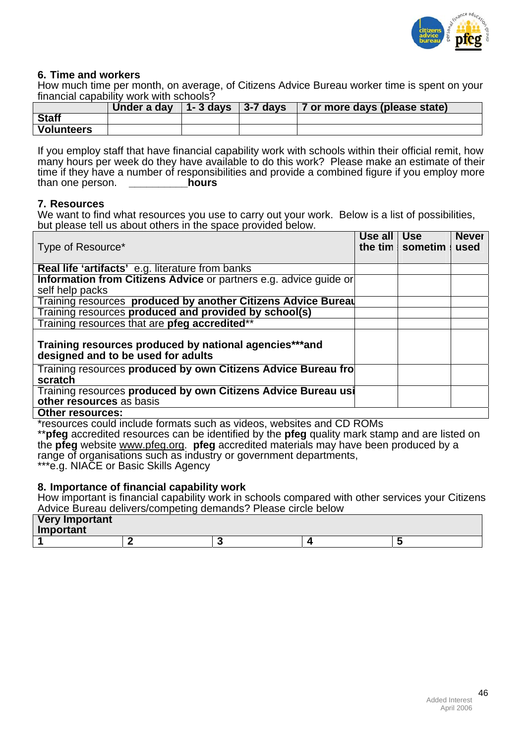

#### **6. Time and workers**

How much time per month, on average, of Citizens Advice Bureau worker time is spent on your financial capability work with schools?

|                   | Under a day | 1-3 days   3-7 days | 7 or more days (please state) |
|-------------------|-------------|---------------------|-------------------------------|
| <b>Staff</b>      |             |                     |                               |
| <b>Volunteers</b> |             |                     |                               |

If you employ staff that have financial capability work with schools within their official remit, how many hours per week do they have available to do this work? Please make an estimate of their time if they have a number of responsibilities and provide a combined figure if you employ more than one person. than one person.

#### **7. Resources**

We want to find what resources you use to carry out your work. Below is a list of possibilities, but please tell us about others in the space provided below.

| Type of Resource*                                                                            | Use all   Use | the tim $\vert$ sometim | <b>Never</b><br>used |
|----------------------------------------------------------------------------------------------|---------------|-------------------------|----------------------|
| <b>Real life 'artifacts' e.g. literature from banks</b>                                      |               |                         |                      |
| Information from Citizens Advice or partners e.g. advice guide or<br>self help packs         |               |                         |                      |
| Training resources produced by another Citizens Advice Bureau                                |               |                         |                      |
| Training resources produced and provided by school(s)                                        |               |                         |                      |
| Training resources that are pfeg accredited**                                                |               |                         |                      |
| Training resources produced by national agencies***and<br>designed and to be used for adults |               |                         |                      |
| Training resources produced by own Citizens Advice Bureau fro<br>scratch                     |               |                         |                      |
| Training resources produced by own Citizens Advice Bureau usi<br>other resources as basis    |               |                         |                      |
| <b>Other resources:</b>                                                                      |               |                         |                      |

\*resources could include formats such as videos, websites and CD ROMs

\*\***pfeg** accredited resources can be identified by the **pfeg** quality mark stamp and are listed on the **pfeg** website [www.pfeg.org.](http://www.pfeg.org/) **pfeg** accredited materials may have been produced by a range of organisations such as industry or government departments,

\*\*\*e.g. NIACE or Basic Skills Agency

#### **8. Importance of financial capability work**

How important is financial capability work in schools compared with other services your Citizens Advice Bureau delivers/competing demands? Please circle below

| <b>Very Important</b><br>Important |  |  |
|------------------------------------|--|--|
|                                    |  |  |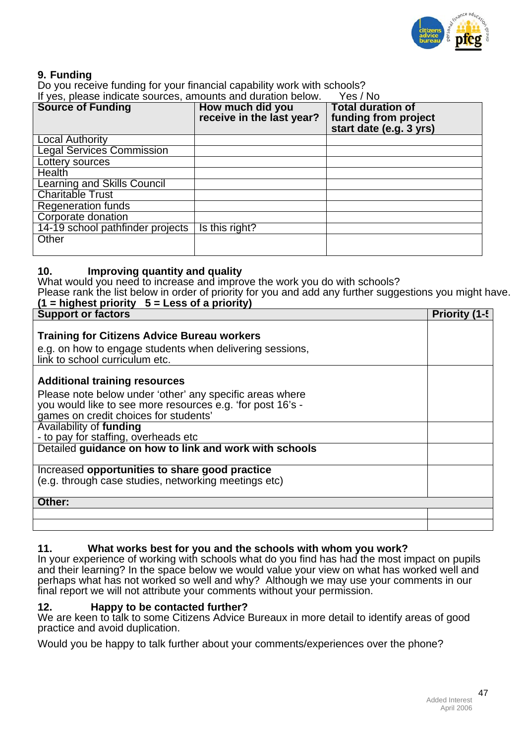

#### **9. Funding**

Do you receive funding for your financial capability work with schools?

| If yes, please indicate sources, amounts and duration below.<br>Yes / No |                                               |                                                                             |  |  |  |
|--------------------------------------------------------------------------|-----------------------------------------------|-----------------------------------------------------------------------------|--|--|--|
| <b>Source of Funding</b>                                                 | How much did you<br>receive in the last year? | <b>Total duration of</b><br>funding from project<br>start date (e.g. 3 yrs) |  |  |  |
| <b>Local Authority</b>                                                   |                                               |                                                                             |  |  |  |
| <b>Legal Services Commission</b>                                         |                                               |                                                                             |  |  |  |
| Lottery sources                                                          |                                               |                                                                             |  |  |  |
| Health                                                                   |                                               |                                                                             |  |  |  |
| <b>Learning and Skills Council</b>                                       |                                               |                                                                             |  |  |  |
| <b>Charitable Trust</b>                                                  |                                               |                                                                             |  |  |  |
| <b>Regeneration funds</b>                                                |                                               |                                                                             |  |  |  |
| Corporate donation                                                       |                                               |                                                                             |  |  |  |
| 14-19 school pathfinder projects                                         | Is this right?                                |                                                                             |  |  |  |
| Other                                                                    |                                               |                                                                             |  |  |  |

#### **10. Improving quantity and quality**

What would you need to increase and improve the work you do with schools?

Please rank the list below in order of priority for you and add any further suggestions you might have. **(1 = highest priority 5 = Less of a priority)** 

| <b>Support or factors</b>                                                                                                                                       | Priority (1-5 |
|-----------------------------------------------------------------------------------------------------------------------------------------------------------------|---------------|
| <b>Training for Citizens Advice Bureau workers</b><br>e.g. on how to engage students when delivering sessions,<br>link to school curriculum etc.                |               |
| <b>Additional training resources</b>                                                                                                                            |               |
| Please note below under 'other' any specific areas where<br>you would like to see more resources e.g. 'for post 16's -<br>games on credit choices for students' |               |
| Availability of funding<br>- to pay for staffing, overheads etc                                                                                                 |               |
| Detailed guidance on how to link and work with schools                                                                                                          |               |
| Increased opportunities to share good practice<br>(e.g. through case studies, networking meetings etc)                                                          |               |
| Other:                                                                                                                                                          |               |
|                                                                                                                                                                 |               |
|                                                                                                                                                                 |               |

# **11. What works best for you and the schools with whom you work?**

In your experience of working with schools what do you find has had the most impact on pupils and their learning? In the space below we would value your view on what has worked well and perhaps what has not worked so well and why? Although we may use your comments in our final report we will not attribute your comments without your permission.

#### **12. Happy to be contacted further?**

We are keen to talk to some Citizens Advice Bureaux in more detail to identify areas of good practice and avoid duplication.

Would you be happy to talk further about your comments/experiences over the phone?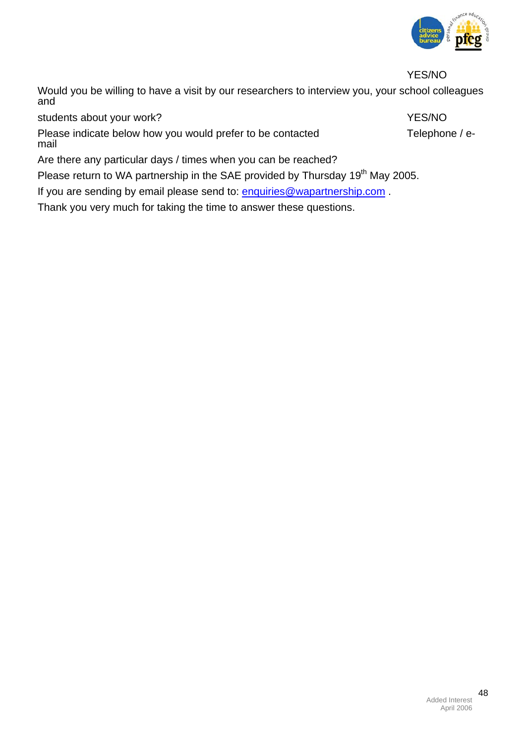

YES/NO

Would you be willing to have a visit by our researchers to interview you, your school colleagues and

students about your work? The students about your work?

Please indicate below how you would prefer to be contacted Telephone / email

Are there any particular days / times when you can be reached?

Please return to WA partnership in the SAE provided by Thursday 19<sup>th</sup> May 2005.

If you are sending by email please send to: [enquiries@wapartnership.com](mailto:enquiries@wapartnership.com).

Thank you very much for taking the time to answer these questions.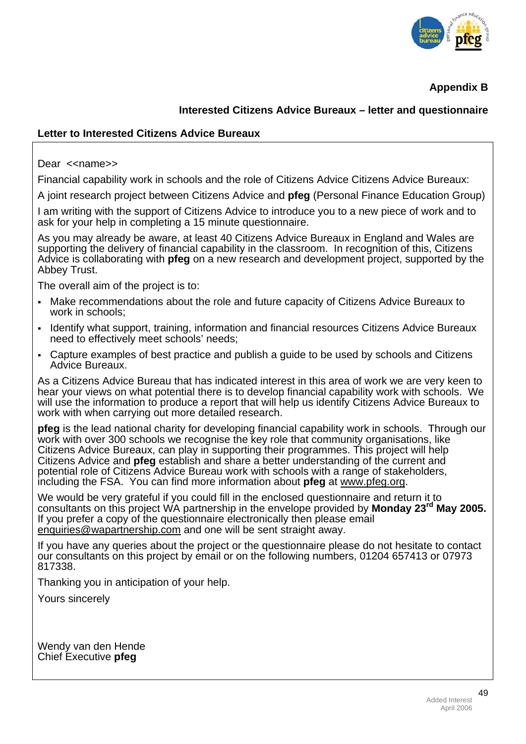

**Appendix B** 

# **Interested Citizens Advice Bureaux – letter and questionnaire**

#### **Letter to Interested Citizens Advice Bureaux**

Dear << name>

Financial capability work in schools and the role of Citizens Advice Citizens Advice Bureaux:

A joint research project between Citizens Advice and **pfeg** (Personal Finance Education Group)

I am writing with the support of Citizens Advice to introduce you to a new piece of work and to ask for your help in completing a 15 minute questionnaire.

As you may already be aware, at least 40 Citizens Advice Bureaux in England and Wales are supporting the delivery of financial capability in the classroom. In recognition of this, Citizens Advice is collaborating with **pfeg** on a new research and development project, supported by the Abbey Trust.

The overall aim of the project is to:

- Make recommendations about the role and future capacity of Citizens Advice Bureaux to work in schools;
- Identify what support, training, information and financial resources Citizens Advice Bureaux need to effectively meet schools' needs;
- Capture examples of best practice and publish a guide to be used by schools and Citizens Advice Bureaux.

As a Citizens Advice Bureau that has indicated interest in this area of work we are very keen to hear your views on what potential there is to develop financial capability work with schools. We will use the information to produce a report that will help us identify Citizens Advice Bureaux to work with when carrying out more detailed research.

**pfeg** is the lead national charity for developing financial capability work in schools. Through our work with over 300 schools we recognise the key role that community organisations, like Citizens Advice Bureaux, can play in supporting their programmes. This project will help Citizens Advice and **pfeg** establish and share a better understanding of the current and potential role of Citizens Advice Bureau work with schools with a range of stakeholders, including the FSA. You can find more information about **pfeg** at [www.pfeg.org.](http://www.pfeg.org/)

We would be very grateful if you could fill in the enclosed questionnaire and return it to consultants on this project WA partnership in the envelope provided by **Monday 23rd May 2005.** If you prefer a copy of the questionnaire electronically then please email [enquiries@wapartnership.com](mailto:enquiries@wapartnership.com) and one will be sent straight away.

If you have any queries about the project or the questionnaire please do not hesitate to contact our consultants on this project by email or on the following numbers, 01204 657413 or 07973 817338.

Thanking you in anticipation of your help.

Yours sincerely

Wendy van den Hende Chief Executive **pfeg**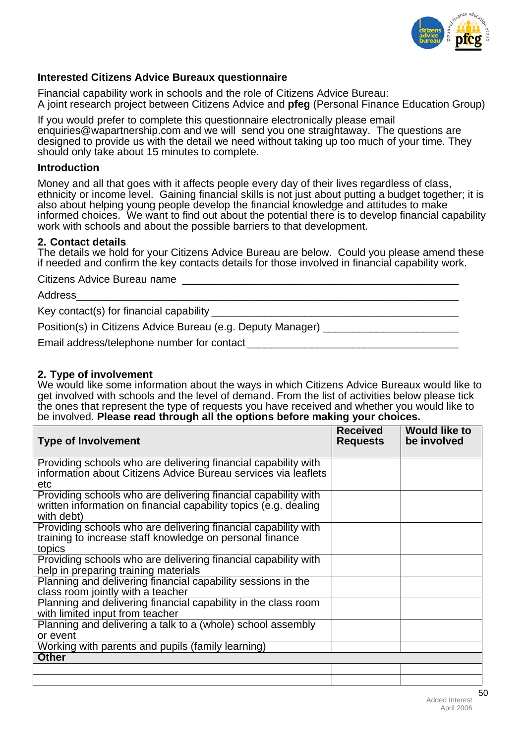

## **Interested Citizens Advice Bureaux questionnaire**

Financial capability work in schools and the role of Citizens Advice Bureau: A joint research project between Citizens Advice and **pfeg** (Personal Finance Education Group)

If you would prefer to complete this questionnaire electronically please email enquiries@wapartnership.com and we will send you one straightaway. The questions are designed to provide us with the detail we need without taking up too much of your time. They should only take about 15 minutes to complete.

#### **Introduction**

Money and all that goes with it affects people every day of their lives regardless of class, ethnicity or income level. Gaining financial skills is not just about putting a budget together; it is also about helping young people develop the financial knowledge and attitudes to make informed choices. We want to find out about the potential there is to develop financial capability work with schools and about the possible barriers to that development.

#### **2. Contact details**

The details we hold for your Citizens Advice Bureau are below. Could you please amend these if needed and confirm the key contacts details for those involved in financial capability work.

Citizens Advice Bureau name

| Address                                                         |  |
|-----------------------------------------------------------------|--|
| Key contact(s) for financial capability _____                   |  |
| Position(s) in Citizens Advice Bureau (e.g. Deputy Manager) ___ |  |
| Email address/telephone number for contact                      |  |

#### **2. Type of involvement**

We would like some information about the ways in which Citizens Advice Bureaux would like to get involved with schools and the level of demand. From the list of activities below please tick the ones that represent the type of requests you have received and whether you would like to be involved. **Please read through all the options before making your choices.** 

| <b>Type of Involvement</b>                                                                                                                       | <b>Received</b><br><b>Requests</b> | <b>Would like to</b><br>be involved |
|--------------------------------------------------------------------------------------------------------------------------------------------------|------------------------------------|-------------------------------------|
| Providing schools who are delivering financial capability with<br>information about Citizens Advice Bureau services via leaflets<br>etc          |                                    |                                     |
| Providing schools who are delivering financial capability with<br>written information on financial capability topics (e.g. dealing<br>with debt) |                                    |                                     |
| Providing schools who are delivering financial capability with<br>training to increase staff knowledge on personal finance<br>topics             |                                    |                                     |
| Providing schools who are delivering financial capability with<br>help in preparing training materials                                           |                                    |                                     |
| Planning and delivering financial capability sessions in the<br>class room jointly with a teacher                                                |                                    |                                     |
| Planning and delivering financial capability in the class room<br>with limited input from teacher                                                |                                    |                                     |
| Planning and delivering a talk to a (whole) school assembly<br>or event                                                                          |                                    |                                     |
| Working with parents and pupils (family learning)<br><b>Other</b>                                                                                |                                    |                                     |
|                                                                                                                                                  |                                    |                                     |
|                                                                                                                                                  |                                    |                                     |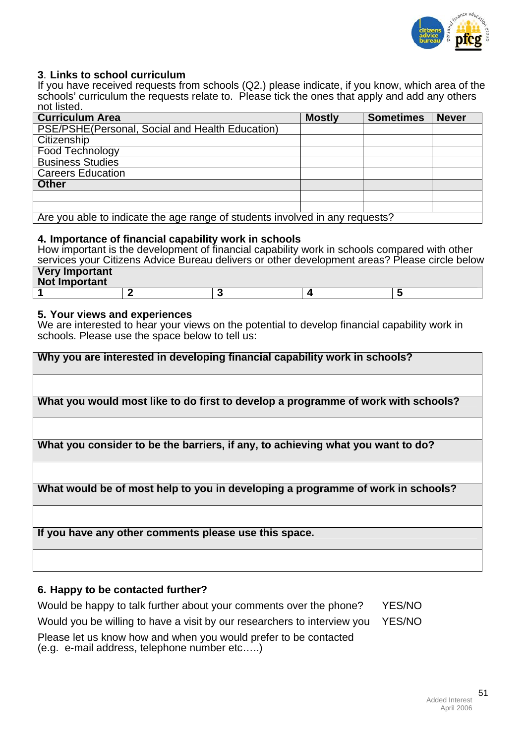

#### **3**. **Links to school curriculum**

If you have received requests from schools (Q2.) please indicate, if you know, which area of the schools' curriculum the requests relate to. Please tick the ones that apply and add any others not listed.

| <b>Curriculum Area</b>                                                       | <b>Mostly</b> | <b>Sometimes</b> | <b>Never</b> |  |  |
|------------------------------------------------------------------------------|---------------|------------------|--------------|--|--|
| PSE/PSHE(Personal, Social and Health Education)                              |               |                  |              |  |  |
| Citizenship                                                                  |               |                  |              |  |  |
| Food Technology                                                              |               |                  |              |  |  |
| <b>Business Studies</b>                                                      |               |                  |              |  |  |
| <b>Careers Education</b>                                                     |               |                  |              |  |  |
| <b>Other</b>                                                                 |               |                  |              |  |  |
|                                                                              |               |                  |              |  |  |
|                                                                              |               |                  |              |  |  |
| Aro vau able to indicate the age range of students involved in any requests? |               |                  |              |  |  |

indicate the age range or students involved in any request

#### **4. Importance of financial capability work in schools**

How important is the development of financial capability work in schools compared with other services your Citizens Advice Bureau delivers or other development areas? Please circle below

| <b>Very Important</b><br>Not Important |  |  |
|----------------------------------------|--|--|
|                                        |  |  |

#### **5. Your views and experiences**

We are interested to hear your views on the potential to develop financial capability work in schools. Please use the space below to tell us:

| Why you are interested in developing financial capability work in schools?        |
|-----------------------------------------------------------------------------------|
|                                                                                   |
| What you would most like to do first to develop a programme of work with schools? |
|                                                                                   |
| What you consider to be the barriers, if any, to achieving what you want to do?   |
|                                                                                   |
| What would be of most help to you in developing a programme of work in schools?   |
|                                                                                   |
| If you have any other comments please use this space.                             |
|                                                                                   |

## **6. Happy to be contacted further?**

Would be happy to talk further about your comments over the phone? YES/NO Would you be willing to have a visit by our researchers to interview you YES/NO

Please let us know how and when you would prefer to be contacted (e.g. e-mail address, telephone number etc…..)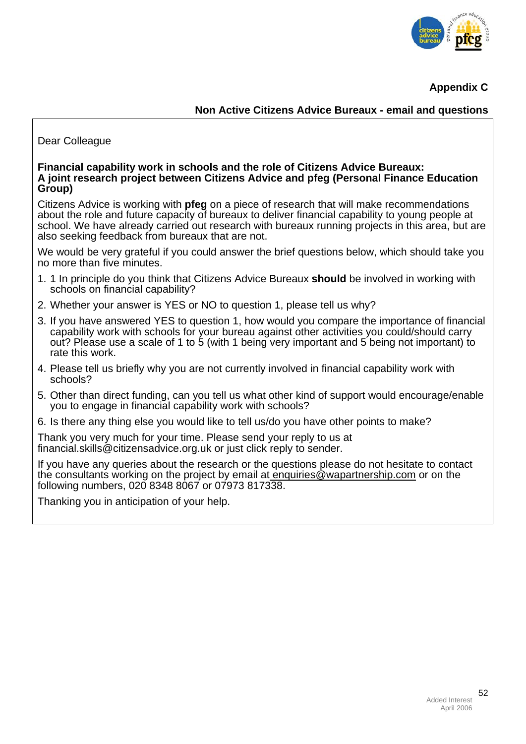

**Appendix C** 

**Non Active Citizens Advice Bureaux - email and questions** 

# Dear Colleague

#### **Financial capability work in schools and the role of Citizens Advice Bureaux: A joint research project between Citizens Advice and pfeg (Personal Finance Education Group)**

Citizens Advice is working with **pfeg** on a piece of research that will make recommendations about the role and future capacity of bureaux to deliver financial capability to young people at school. We have already carried out research with bureaux running projects in this area, but are also seeking feedback from bureaux that are not.

We would be very grateful if you could answer the brief questions below, which should take you no more than five minutes.

- 1. 1 In principle do you think that Citizens Advice Bureaux **should** be involved in working with schools on financial capability?
- 2. Whether your answer is YES or NO to question 1, please tell us why?
- 3. If you have answered YES to question 1, how would you compare the importance of financial capability work with schools for your bureau against other activities you could/should carry out? Please use a scale of 1 to 5 (with 1 being very important and 5 being not important) to rate this work.
- 4. Please tell us briefly why you are not currently involved in financial capability work with schools?
- 5. Other than direct funding, can you tell us what other kind of support would encourage/enable you to engage in financial capability work with schools?
- 6. Is there any thing else you would like to tell us/do you have other points to make?

Thank you very much for your time. Please send your reply to us at financial.skills@citizensadvice.org.uk or just click reply to sender.

If you have any queries about the research or the questions please do not hesitate to contact the consultants working on the project by email at enquiries@wapartnership.com or on the following numbers, 020 8348 8067 or 07973 817338.

Thanking you in anticipation of your help.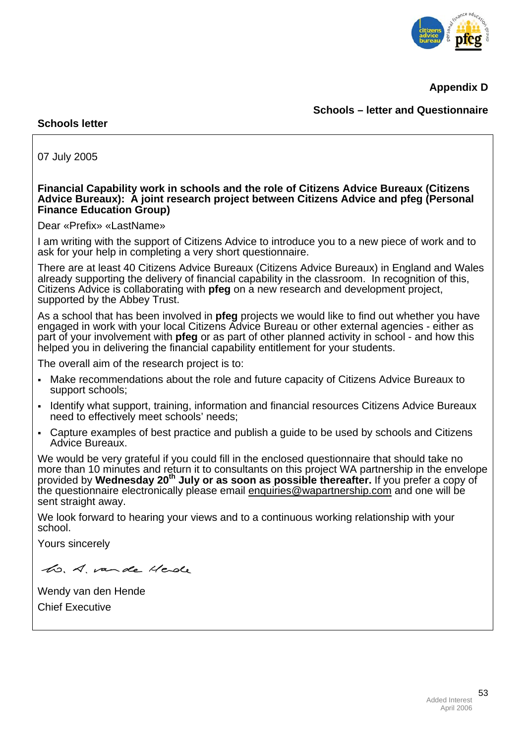

**Appendix D** 

# **Schools – letter and Questionnaire**

#### **Schools letter**

07 July 2005

#### **Financial Capability work in schools and the role of Citizens Advice Bureaux (Citizens Advice Bureaux): A joint research project between Citizens Advice and pfeg (Personal Finance Education Group)**

Dear «Prefix» «LastName»

I am writing with the support of Citizens Advice to introduce you to a new piece of work and to ask for your help in completing a very short questionnaire.

There are at least 40 Citizens Advice Bureaux (Citizens Advice Bureaux) in England and Wales already supporting the delivery of financial capability in the classroom. In recognition of this, Citizens Advice is collaborating with **pfeg** on a new research and development project, supported by the Abbey Trust.

As a school that has been involved in **pfeg** projects we would like to find out whether you have engaged in work with your local Citizens Advice Bureau or other external agencies - either as part of your involvement with **pfeg** or as part of other planned activity in school - and how this helped you in delivering the financial capability entitlement for your students.

The overall aim of the research project is to:

- Make recommendations about the role and future capacity of Citizens Advice Bureaux to support schools;
- Identify what support, training, information and financial resources Citizens Advice Bureaux need to effectively meet schools' needs;
- Capture examples of best practice and publish a guide to be used by schools and Citizens Advice Bureaux.

We would be very grateful if you could fill in the enclosed questionnaire that should take no more than 10 minutes and return it to consultants on this project WA partnership in the envelope provided by **Wednesday 20th July or as soon as possible thereafter.** If you prefer a copy of the questionnaire electronically please email [enquiries@wapartnership.com](mailto:enquiries@wapartnership.com) and one will be sent straight away.

We look forward to hearing your views and to a continuous working relationship with your school.

Yours sincerely

ho. A. vande Herde

Wendy van den Hende Chief Executive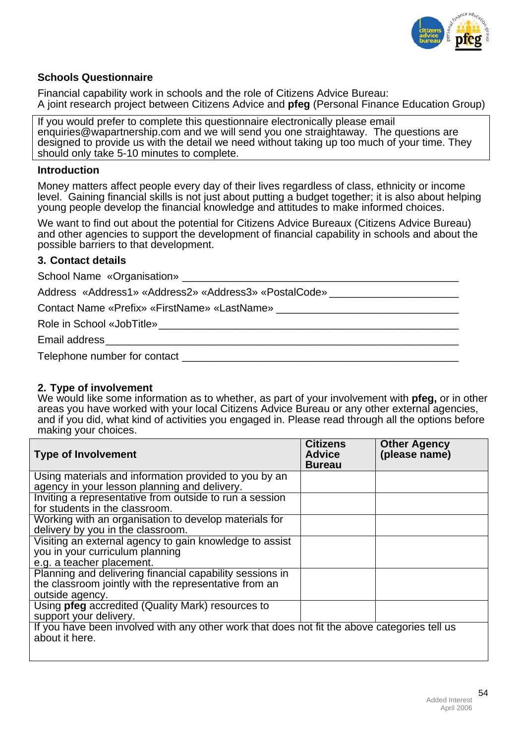

#### **Schools Questionnaire**

Financial capability work in schools and the role of Citizens Advice Bureau: A joint research project between Citizens Advice and **pfeg** (Personal Finance Education Group)

If you would prefer to complete this questionnaire electronically please email enquiries@wapartnership.com and we will send you one straightaway. The questions are designed to provide us with the detail we need without taking up too much of your time. They should only take 5-10 minutes to complete.

#### **Introduction**

Money matters affect people every day of their lives regardless of class, ethnicity or income level. Gaining financial skills is not just about putting a budget together; it is also about helping young people develop the financial knowledge and attitudes to make informed choices.

We want to find out about the potential for Citizens Advice Bureaux (Citizens Advice Bureau) and other agencies to support the development of financial capability in schools and about the possible barriers to that development.

#### **3. Contact details**

School Name «Organisation»

Address «Address1» «Address2» «Address3» «PostalCode»

Contact Name «Prefix» «FirstName» «LastName» \_\_\_\_ Role in School «JobTitle»

Email address\_\_\_\_\_\_\_\_\_\_\_\_\_\_\_\_\_\_\_\_\_\_\_\_\_\_\_\_\_\_\_\_\_\_\_\_\_\_\_\_\_\_\_\_\_\_\_\_\_\_\_\_\_\_\_\_\_\_\_\_

Telephone number for contact **Example 20** 

#### **2. Type of involvement**

We would like some information as to whether, as part of your involvement with **pfeg,** or in other areas you have worked with your local Citizens Advice Bureau or any other external agencies, and if you did, what kind of activities you engaged in. Please read through all the options before making your choices.

| <b>Type of Involvement</b>                                                                                                           | <b>Citizens</b><br><b>Advice</b><br><b>Bureau</b> | <b>Other Agency</b><br>(please name) |
|--------------------------------------------------------------------------------------------------------------------------------------|---------------------------------------------------|--------------------------------------|
| Using materials and information provided to you by an<br>agency in your lesson planning and delivery.                                |                                                   |                                      |
| Inviting a representative from outside to run a session<br>for students in the classroom.                                            |                                                   |                                      |
| Working with an organisation to develop materials for<br>delivery by you in the classroom.                                           |                                                   |                                      |
| Visiting an external agency to gain knowledge to assist<br>you in your curriculum planning<br>e.g. a teacher placement.              |                                                   |                                      |
| Planning and delivering financial capability sessions in<br>the classroom jointly with the representative from an<br>outside agency. |                                                   |                                      |
| Using <b>pfeg</b> accredited (Quality Mark) resources to<br>support your delivery.                                                   |                                                   |                                      |
| If you have been involved with any other work that does not fit the above categories tell us<br>about it here.                       |                                                   |                                      |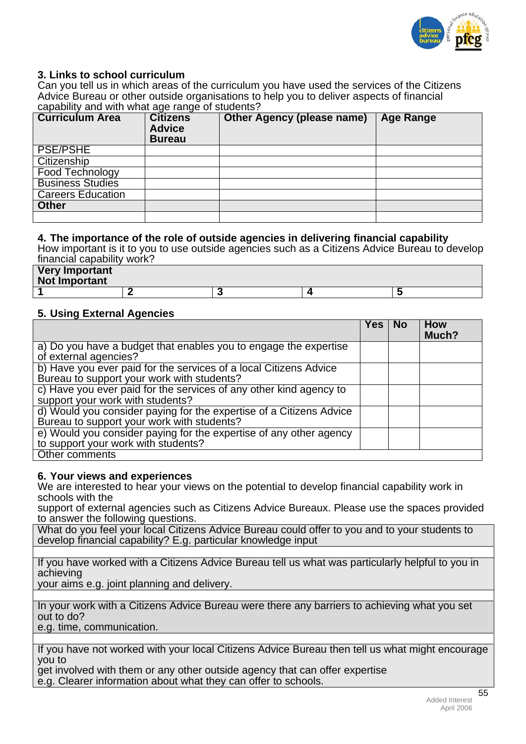

# **3. Links to school curriculum**

Can you tell us in which areas of the curriculum you have used the services of the Citizens Advice Bureau or other outside organisations to help you to deliver aspects of financial capability and with what age range of students?

| <b>Curriculum Area</b>   | <b>Citizens</b><br><b>Advice</b><br><b>Bureau</b> | <b>Other Agency (please name)</b> | <b>Age Range</b> |
|--------------------------|---------------------------------------------------|-----------------------------------|------------------|
| <b>PSE/PSHE</b>          |                                                   |                                   |                  |
| Citizenship              |                                                   |                                   |                  |
| Food Technology          |                                                   |                                   |                  |
| <b>Business Studies</b>  |                                                   |                                   |                  |
| <b>Careers Education</b> |                                                   |                                   |                  |
| <b>Other</b>             |                                                   |                                   |                  |
|                          |                                                   |                                   |                  |

#### **4. The importance of the role of outside agencies in delivering financial capability**

How important is it to you to use outside agencies such as a Citizens Advice Bureau to develop financial capability work?

| <b>Very Important</b><br>Not Important |  |  |
|----------------------------------------|--|--|
|                                        |  |  |

#### **5. Using External Agencies**

|                                                                                                                   | Yes. | <b>No</b> | <b>How</b><br>Much? |
|-------------------------------------------------------------------------------------------------------------------|------|-----------|---------------------|
| a) Do you have a budget that enables you to engage the expertise<br>of external agencies?                         |      |           |                     |
| b) Have you ever paid for the services of a local Citizens Advice<br>Bureau to support your work with students?   |      |           |                     |
| c) Have you ever paid for the services of any other kind agency to<br>support your work with students?            |      |           |                     |
| d) Would you consider paying for the expertise of a Citizens Advice<br>Bureau to support your work with students? |      |           |                     |
| e) Would you consider paying for the expertise of any other agency<br>to support your work with students?         |      |           |                     |
| Other comments                                                                                                    |      |           |                     |

#### **6. Your views and experiences**

We are interested to hear your views on the potential to develop financial capability work in schools with the

support of external agencies such as Citizens Advice Bureaux. Please use the spaces provided to answer the following questions.

What do you feel your local Citizens Advice Bureau could offer to you and to your students to develop financial capability? E.g. particular knowledge input

If you have worked with a Citizens Advice Bureau tell us what was particularly helpful to you in achieving

your aims e.g. joint planning and delivery.

In your work with a Citizens Advice Bureau were there any barriers to achieving what you set out to do?

e.g. time, communication.

If you have not worked with your local Citizens Advice Bureau then tell us what might encourage you to

get involved with them or any other outside agency that can offer expertise e.g. Clearer information about what they can offer to schools.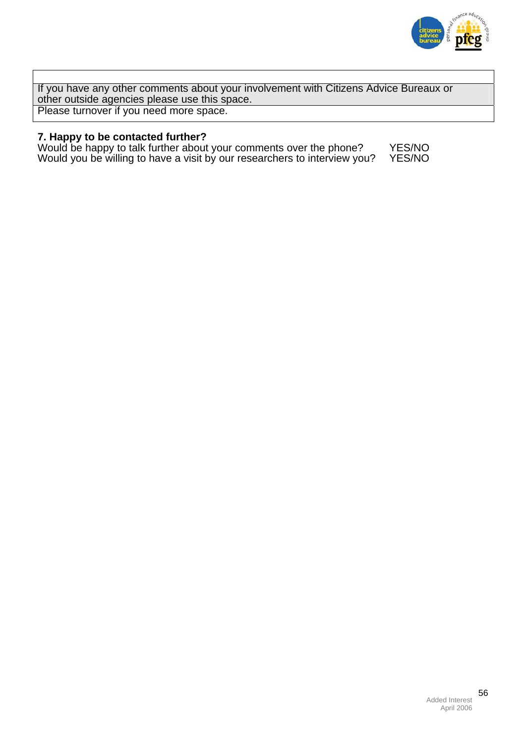

If you have any other comments about your involvement with Citizens Advice Bureaux or other outside agencies please use this space. Please turnover if you need more space.

## **7. Happy to be contacted further?**

Would be happy to talk further about your comments over the phone? YES/NO Would you be willing to have a visit by our researchers to interview you? YES/NO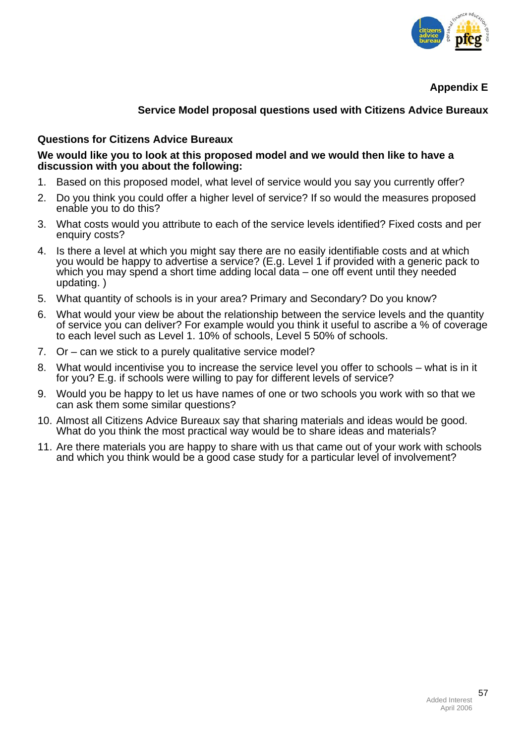

**Appendix E** 

# **Service Model proposal questions used with Citizens Advice Bureaux**

# **Questions for Citizens Advice Bureaux**

#### **We would like you to look at this proposed model and we would then like to have a discussion with you about the following:**

- 1. Based on this proposed model, what level of service would you say you currently offer?
- 2. Do you think you could offer a higher level of service? If so would the measures proposed enable you to do this?
- 3. What costs would you attribute to each of the service levels identified? Fixed costs and per enquiry costs?
- 4. Is there a level at which you might say there are no easily identifiable costs and at which you would be happy to advertise a service? (E.g. Level 1 if provided with a generic pack to which you may spend a short time adding local data – one off event until they needed updating. )
- 5. What quantity of schools is in your area? Primary and Secondary? Do you know?
- 6. What would your view be about the relationship between the service levels and the quantity of service you can deliver? For example would you think it useful to ascribe a % of coverage to each level such as Level 1. 10% of schools, Level 5 50% of schools.
- 7. Or can we stick to a purely qualitative service model?
- 8. What would incentivise you to increase the service level you offer to schools what is in it for you? E.g. if schools were willing to pay for different levels of service?
- 9. Would you be happy to let us have names of one or two schools you work with so that we can ask them some similar questions?
- 10. Almost all Citizens Advice Bureaux say that sharing materials and ideas would be good. What do you think the most practical way would be to share ideas and materials?
- 11. Are there materials you are happy to share with us that came out of your work with schools and which you think would be a good case study for a particular level of involvement?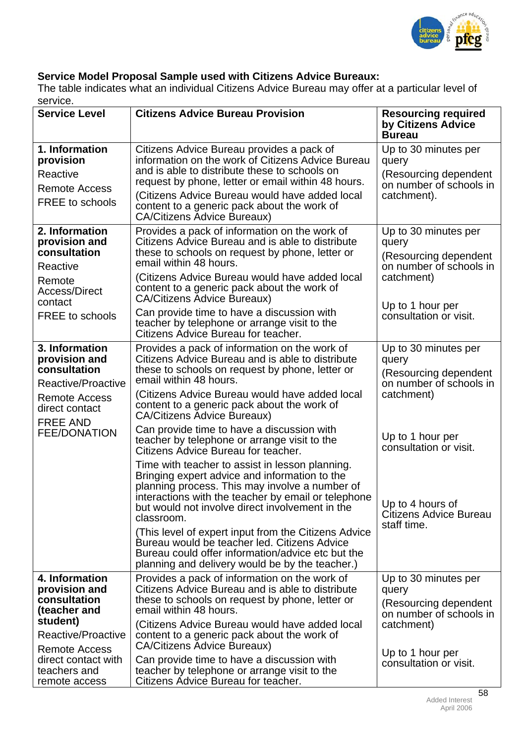

# **Service Model Proposal Sample used with Citizens Advice Bureaux:**

The table indicates what an individual Citizens Advice Bureau may offer at a particular level of service.

| <b>Service Level</b>                                                                                                                                                              | <b>Citizens Advice Bureau Provision</b>                                                                                                                                                                                                                                                                                                                                                                                                                                                                                                                                                                                         | <b>Resourcing required</b><br>by Citizens Advice                                                                                              |  |
|-----------------------------------------------------------------------------------------------------------------------------------------------------------------------------------|---------------------------------------------------------------------------------------------------------------------------------------------------------------------------------------------------------------------------------------------------------------------------------------------------------------------------------------------------------------------------------------------------------------------------------------------------------------------------------------------------------------------------------------------------------------------------------------------------------------------------------|-----------------------------------------------------------------------------------------------------------------------------------------------|--|
|                                                                                                                                                                                   |                                                                                                                                                                                                                                                                                                                                                                                                                                                                                                                                                                                                                                 | <b>Bureau</b>                                                                                                                                 |  |
| 1. Information<br>provision<br>Reactive<br><b>Remote Access</b><br>FREE to schools                                                                                                | Citizens Advice Bureau provides a pack of<br>information on the work of Citizens Advice Bureau<br>and is able to distribute these to schools on<br>request by phone, letter or email within 48 hours.<br>(Citizens Advice Bureau would have added local<br>content to a generic pack about the work of<br><b>CA/Citizens Advice Bureaux)</b>                                                                                                                                                                                                                                                                                    | Up to 30 minutes per<br>query<br>(Resourcing dependent<br>on number of schools in<br>catchment).                                              |  |
| 2. Information<br>provision and<br>consultation<br>Reactive<br>Remote<br><b>Access/Direct</b><br>contact<br><b>FREE</b> to schools                                                | Provides a pack of information on the work of<br>Citizens Advice Bureau and is able to distribute<br>these to schools on request by phone, letter or<br>email within 48 hours.<br>(Citizens Advice Bureau would have added local<br>content to a generic pack about the work of<br><b>CA/Citizens Advice Bureaux)</b><br>Can provide time to have a discussion with<br>teacher by telephone or arrange visit to the<br>Citizens Advice Bureau for teacher.                                                                                                                                                                      | Up to 30 minutes per<br>query<br>(Resourcing dependent<br>on number of schools in<br>catchment)<br>Up to 1 hour per<br>consultation or visit. |  |
| 3. Information<br>provision and<br>consultation<br>Reactive/Proactive<br><b>Remote Access</b><br>direct contact                                                                   | Provides a pack of information on the work of<br>Citizens Advice Bureau and is able to distribute<br>these to schools on request by phone, letter or<br>email within 48 hours.<br>(Citizens Advice Bureau would have added local<br>content to a generic pack about the work of<br><b>CA/Citizens Advice Bureaux)</b>                                                                                                                                                                                                                                                                                                           | Up to 30 minutes per<br>query<br>(Resourcing dependent<br>on number of schools in<br>catchment)                                               |  |
| <b>FREE AND</b><br><b>FEE/DONATION</b>                                                                                                                                            | Can provide time to have a discussion with<br>teacher by telephone or arrange visit to the<br>Citizens Advice Bureau for teacher.<br>Time with teacher to assist in lesson planning.<br>Bringing expert advice and information to the<br>planning process. This may involve a number of<br>interactions with the teacher by email or telephone<br>but would not involve direct involvement in the<br>classroom.<br>(This level of expert input from the Citizens Advice<br>Bureau would be teacher led. Citizens Advice<br>Bureau could offer information/advice etc but the<br>planning and delivery would be by the teacher.) | Up to 1 hour per<br>consultation or visit.<br>Up to 4 hours of<br>Citizens Advice Bureau<br>staff time.                                       |  |
| 4. Information<br>provision and<br>consultation<br>(teacher and<br>student)<br>Reactive/Proactive<br><b>Remote Access</b><br>direct contact with<br>teachers and<br>remote access | Provides a pack of information on the work of<br>Citizens Advice Bureau and is able to distribute<br>these to schools on request by phone, letter or<br>email within 48 hours.<br>(Citizens Advice Bureau would have added local<br>content to a generic pack about the work of<br><b>CA/Citizens Advice Bureaux)</b><br>Can provide time to have a discussion with<br>teacher by telephone or arrange visit to the<br>Citizens Advice Bureau for teacher.                                                                                                                                                                      | Up to 30 minutes per<br>query<br>(Resourcing dependent<br>on number of schools in<br>catchment)<br>Up to 1 hour per<br>consultation or visit. |  |